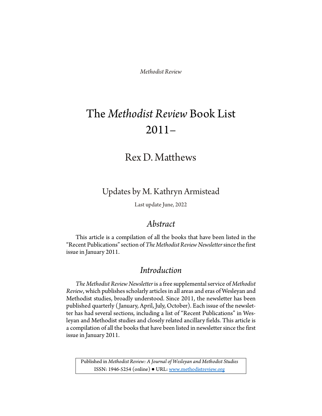*Methodist Review*

# The *Methodist Review* Book List 2011–

## Rex D. Matthews

Updates by M. Kathryn Armistead

Last update June, 2022

### *Abstract*

This article is a compilation of all the books that have been listed in the "Recent Publications" section of *The Methodist Review Newsletter*since the first issue in January 2011.

### *Introduction*

*The Methodist Review Newsletter*is a free supplemental service of *Methodist Review*, which publishes scholarly articles in all areas and eras of Wesleyan and Methodist studies, broadly understood. Since 2011, the newsletter has been published quarterly ( January, April, July, October). Each issue of the newsletter has had several sections, including a list of "Recent Publications" in Wesleyan and Methodist studies and closely related ancillary fields. This article is a compilation of all the books that have been listed in newsletter since the first issue in January 2011.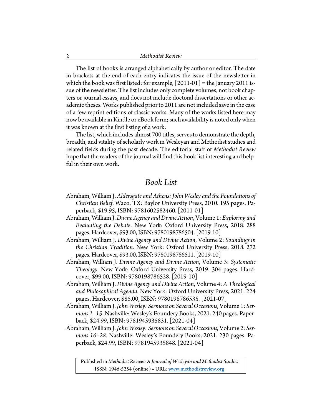The list of books is arranged alphabetically by author or editor. The date in brackets at the end of each entry indicates the issue of the newsletter in which the book was first listed: for example,  $\lfloor 2011-01 \rfloor$  = the January 2011 issue of the newsletter. The list includes only complete volumes, not book chapters or journal essays, and does not include doctoral dissertations or other academic theses. Works published prior to 2011 are not included save in the case of a few reprint editions of classic works. Many of the works listed here may now be available in Kindle or eBook form; such availability is noted only when it was known at the first listing of a work.

The list, which includes almost 700 titles, serves to demonstrate the depth, breadth, and vitality of scholarly work in Wesleyan and Methodist studies and related fields during the past decade. The editorial staff of *Methodist Review* hope that the readers of the journal will find this book list interesting and helpful in their own work.

#### *Book List*

- Abraham, William J. *Aldersgate and Athens: John Wesley and the Foundations of Christian Belief*. Waco, TX: Baylor University Press, 2010. 195 pages. Paperback, \$19.95, ISBN: 9781602582460. [2011-01]
- Abraham, William J. *Divine Agency and Divine Action*, Volume 1: *Exploring and Evaluating the Debate*. New York: Oxford University Press, 2018. 288 pages. Hardcover, \$93.00, ISBN: 9780198786504. [2019-10]
- Abraham, William J. *Divine Agency and Divine Action*, Volume 2: *Soundings in the Christian Tradition*. New York: Oxford University Press, 2018. 272 pages. Hardcover, \$93.00, ISBN: 9780198786511. [2019-10]
- Abraham, William J. *Divine Agency and Divine Action*, Volume 3: *Systematic Theology.* New York: Oxford University Press, 2019. 304 pages. Hardcover, \$99.00, ISBN: 9780198786528. [2019-10]
- Abraham, William J. *Divine Agency and Divine Action*, Volume 4: *A Theological and Philosophical Agenda.* New York: Oxford University Press, 2021. 224 pages. Hardcover, \$85.00, ISBN: 9780198786535. [2021-07]
- Abraham, William J. *John Wesley: Sermons on Several Occasions*, Volume 1: *Sermons 1–15*. Nashville: Wesley's Foundery Books, 2021. 240 pages. Paperback, \$24.99, ISBN: 9781945935831. [2021-04]
- Abraham, William J. *John Wesley: Sermons on Several Occasions,* Volume 2: *Sermons 16–28.* Nashville: Wesley's Foundery Books, 2021. 230 pages. Paperback, \$24.99, ISBN: 9781945935848. [2021-04]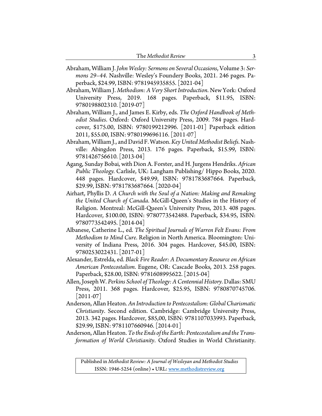| The Methodist Review |  |
|----------------------|--|
|----------------------|--|

- Abraham, William J. *John Wesley: Sermons on Several Occasions*, Volume 3: *Sermons 29–44*. Nashville: Wesley's Foundery Books, 2021. 246 pages. Paperback, \$24.99, ISBN: 9781945935855. [2021-04]
- Abraham, William J. *Methodism: A Very Short Introduction*. New York: Oxford University Press, 2019. 168 pages. Paperback, \$11.95, ISBN: 9780198802310. [2019-07]
- Abraham, William J., and James E. Kirby, eds. *The Oxford Handbook of Methodist Studies*. Oxford: Oxford University Press, 2009. 784 pages. Hardcover, \$175.00, ISBN: 9780199212996. [2011-01] Paperback edition 2011, \$55.00, ISBN: 9780199696116. [2011-07]
- Abraham,William J., and David F. Watson.*Key United Methodist Beliefs*. Nashville: Abingdon Press, 2013. 176 pages. Paperback, \$15.99, ISBN: 9781426756610. [2013-04]
- Agang, Sunday Bobai, with Dion A. Forster, and H. Jurgens Hendriks. *African Public Theology.* Carlisle, UK: Langham Publishing/ Hippo Books, 2020. 448 pages. Hardcover, \$49.99, ISBN: 9781783687664. Paperback, \$29.99, ISBN: 9781783687664. [2020-04]
- Airhart, Phyllis D. *A Church with the Soul of a Nation: Making and Remaking the United Church of Canada*. McGill-Queen's Studies in the History of Religion. Montreal: McGill-Queen's University Press, 2013. 408 pages. Hardcover, \$100.00, ISBN: 9780773542488. Paperback, \$34.95, ISBN: 9780773542495. [2014-04]
- Albanese, Catherine L., ed. *The Spiritual Journals of Warren Felt Evans: From Methodism to Mind Cure*. Religion in North America. Bloomington: University of Indiana Press, 2016. 304 pages. Hardcover, \$45.00, ISBN: 9780253022431. [2017-01]
- Alexander, Estrelda, ed. *Black Fire Reader: A Documentary Resource on African American Pentecostalism*. Eugene, OR: Cascade Books, 2013. 258 pages. Paperback, \$28.00, ISBN: 9781608995622. [2015-04]
- Allen, Joseph W. *Perkins School of Theology: A Centennial History.* Dallas: SMU Press, 2011. 368 pages. Hardcover, \$25.95, ISBN: 9780870745706. [2011-07]
- Anderson, Allan Heaton. *An Introduction to Pentecostalism: Global Charismatic Christianity*. Second edition. Cambridge: Cambridge University Press, 2013. 342 pages. Hardcover, \$85,00, ISBN: 9781107033993. Paperback, \$29.99, ISBN: 9781107660946. [2014-01]
- Anderson, Allan Heaton.*To the Ends of the Earth: Pentecostalism and the Transformation of World Christianity*. Oxford Studies in World Christianity.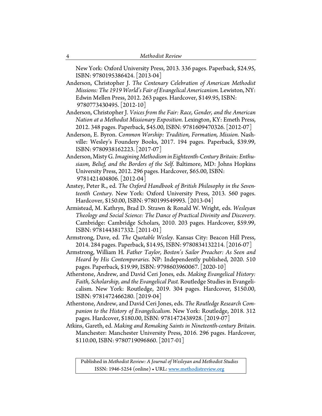New York: Oxford University Press, 2013. 336 pages. Paperback, \$24.95, ISBN: 9780195386424. [2013-04]

Anderson, Christopher J. *The Centenary Celebration of American Methodist Missions: The 1919 World's Fair of Evangelical Americanism.* Lewiston, NY: Edwin Mellen Press, 2012. 263 pages. Hardcover, \$149.95, ISBN: 9780773430495. [2012-10]

- Anderson, Christopher J. *Voices from the Fair: Race, Gender, and the American Nation at a Methodist Missionary Exposition*. Lexington, KY: Emeth Press, 2012. 348 pages. Paperback, \$45.00, ISBN: 9781609470326. [2012-07]
- Anderson, E. Byron. *Common Worship: Tradition, Formation, Mission*. Nashville: Wesley's Foundery Books, 2017. 194 pages. Paperback, \$39.99, ISBN: 9780938162223. [2017-07]
- Anderson, Misty G. *Imagining Methodism in Eighteenth-Century Britain: Enthusiasm, Belief, and the Borders of the Self*. Baltimore, MD: Johns Hopkins University Press, 2012. 296 pages. Hardcover, \$65.00, ISBN: 9781421404806. [2012-04]
- Anstey, Peter R., ed. *The Oxford Handbook of British Philosophy in the Seventeenth Century*. New York: Oxford University Press, 2013. 560 pages. Hardcover, \$150.00, ISBN: 9780199549993. [2013-04]
- Armistead, M. Kathryn, Brad D. Strawn & Ronald W. Wright, eds. *Wesleyan Theology and Social Science: The Dance of Practical Divinity and Discovery*. Cambridge: Cambridge Scholars, 2010. 203 pages. Hardcover, \$59.99, ISBN: 9781443817332. [2011-01]
- Armstrong, Dave, ed. *The Quotable Wesley*. Kansas City: Beacon Hill Press, 2014. 284 pages. Paperback, \$14.95, ISBN: 9780834132214. [2016-07]
- Armstrong, William H. *Father Taylor, Boston's Sailor Preacher: As Seen and Heard by His Contemporaries*. NP: Independently published, 2020. 510 pages. Paperback, \$19.99, ISBN: 9798603960067. [2020-10]
- Atherstone, Andrew, and David Ceri Jones, eds. *Making Evangelical History: Faith, Scholarship, and the Evangelical Past.* Routledge Studies in Evangelicalism. New York: Routledge, 2019. 304 pages. Hardcover, \$150.00, ISBN: 9781472466280. [2019-04]
- Atherstone, Andrew, and David Ceri Jones, eds. *The Routledge Research Companion to the History of Evangelicalism*. New York: Routledge, 2018. 312 pages. Hardcover, \$180.00, ISBN: 9781472438928. [2019-07]
- Atkins, Gareth, ed. *Making and Remaking Saints in Nineteenth-century Britain*. Manchester: Manchester University Press, 2016. 296 pages. Hardcover, \$110.00, ISBN: 9780719096860. [2017-01]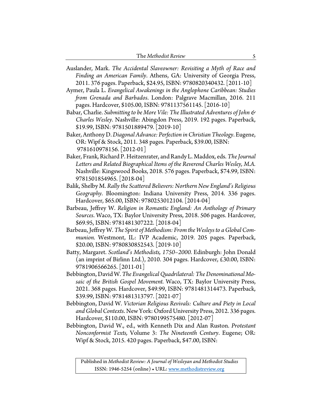| The Methodist Review |  |
|----------------------|--|
|----------------------|--|

- Auslander, Mark. *The Accidental Slaveowner: Revisiting a Myth of Race and Finding an American Family*. Athens, GA: University of Georgia Press, 2011. 376 pages. Paperback, \$24.95, ISBN: 9780820340432. [2011-10]
- Aymer, Paula L. *Evangelical Awakenings in the Anglophone Caribbean: Studies from Grenada and Barbados*. London: Palgrave Macmillan, 2016. 211 pages. Hardcover, \$105.00, ISBN: 9781137561145. [2016-10]
- Babar, Charlie. *Submitting to be More Vile: The Illustrated Adventures of John & Charles Wesley*. Nashville: Abingdon Press, 2019. 192 pages. Paperback, \$19.99, ISBN: 9781501889479. [2019-10]
- Baker, Anthony D. *Diagonal Advance: Perfection in Christian Theology*. Eugene, OR: Wipf & Stock, 2011. 348 pages. Paperback, \$39.00, ISBN: 9781610978156. [2012-01]
- Baker, Frank, Richard P. Heitzenrater, and Randy L. Maddox, eds. *The Journal Letters and Related Biographical Items of the Reverend Charles Wesley, M.A.* Nashville: Kingswood Books, 2018. 576 pages. Paperback, \$74.99, ISBN: 9781501854965. [2018-04]
- Balik, Shelby M. *Rally the Scattered Believers: Northern New England's Religious Geography*. Bloomington: Indiana University Press, 2014. 336 pages. Hardcover, \$65.00, ISBN: 9780253012104. [2014-04]
- Barbeau, Jeffrey W. *Religion in Romantic England: An Anthology of Primary Sources*. Waco, TX: Baylor University Press, 2018. 506 pages. Hardcover, \$69.95, ISBN: 9781481307222. [2018-04]
- Barbeau, Jeffrey W. *The Spirit of Methodism: From the Wesleys to a Global Communion.* Westmont, IL: IVP Academic, 2019. 205 pages. Paperback, \$20.00, ISBN: 9780830852543. [2019-10]
- Batty, Margaret. *Scotland's Methodists, 1750–2000.* Edinburgh: John Donald (an imprint of Birlinn Ltd.), 2010. 304 pages. Hardcover, £30.00, ISBN: 9781906566265. [2011-01]
- Bebbington, David W. *The Evangelical Quadrilateral: The Denominational Mosaic of the British Gospel Movement.* Waco, TX: Baylor University Press, 2021. 368 pages. Hardcover, \$49.99, ISBN: 9781481314473. Paperback, \$39.99, ISBN: 9781481313797. [2021-07]
- Bebbington, David W. *Victorian Religious Revivals: Culture and Piety in Local and Global Contexts*. New York: Oxford University Press, 2012. 336 pages. Hardcover, \$110.00, ISBN: 9780199575480. [2012-07]
- Bebbington, David W., ed., with Kenneth Dix and Alan Ruston. *Protestant Nonconformist Texts,* Volume 3: *The Nineteenth Century*. Eugene; OR: Wipf & Stock, 2015. 420 pages. Paperback, \$47.00, ISBN: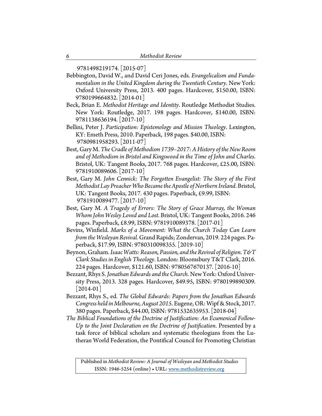9781498219174. [2015-07]

- Bebbington, David W., and David Ceri Jones, eds*. Evangelicalism and Fundamentalism in the United Kingdom during the Twentieth Century*. New York: Oxford University Press, 2013. 400 pages. Hardcover, \$150.00, ISBN: 9780199664832. [2014-01]
- Beck, Brian E. *Methodist Heritage and Identity*. Routledge Methodist Studies. New York: Routledge, 2017. 198 pages. Hardcover, \$140.00, ISBN: 9781138636194. [2017-10]
- Bellini, Peter J. *Participation: Epistemology and Mission Theology*. Lexington, KY: Emeth Press, 2010. Paperback, 198 pages. \$40.00, ISBN: 9780981958293. [2011-07]
- Best, Gary M. *The Cradle of Methodism 1739–2017: A History of the New Room and of Methodism in Bristol and Kingswood in the Time of John and Charles*. Bristol, UK: Tangent Books, 2017. 768 pages. Hardcover, £25.00, ISBN: 9781910089606. [2017-10]
- Best, Gary M. *John Cennick: The Forgotten Evangelist: The Story of the First Methodist Lay Preacher Who Became the Apostle of Northern Ireland*. Bristol, UK: Tangent Books, 2017. 430 pages. Paperback, £9.99, ISBN: 9781910089477. [2017-10]
- Best, Gary M. *A Tragedy of Errors: The Story of Grace Murray, the Woman Whom John Wesley Loved and Lost*. Bristol, UK: Tangent Books, 2016. 246 pages. Paperback, £8.99, ISBN: 9781910089378. [2017-01]
- Bevins, Winfield. *Marks of a Movement: What the Church Today Can Learn from the Wesleyan Revival.* Grand Rapids; Zondervan, 2019. 224 pages. Paperback, \$17.99, ISBN: 9780310098355. [2019-10]
- Beynon, Graham. *Isaac Watts: Reason, Passion, and the Revival of Religion. T&T Clark Studies in English Theology*. London: Bloomsbury T&T Clark, 2016. 224 pages. Hardcover, \$121.60, ISBN: 9780567670137. [2016-10]
- Bezzant, Rhys S. *Jonathan Edwards and the Church.* New York: Oxford University Press, 2013. 328 pages. Hardcover, \$49.95, ISBN: 9780199890309.  $[2014-01]$
- Bezzant, Rhys S., ed. *The Global Edwards: Papers from the Jonathan Edwards Congress held in Melbourne, August 2015*. Eugene, OR: Wipf & Stock, 2017. 380 pages. Paperback, \$44.00, ISBN: 9781532635953. [2018-04]
- *The Biblical Foundations of the Doctrine of Justification: An Ecumenical Follow-Up to the Joint Declaration on the Doctrine of Justification*. Presented by a task force of biblical scholars and systematic theologians from the Lutheran World Federation, the Pontifical Council for Promoting Christian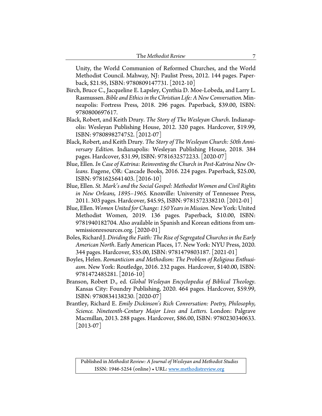| The Methodist Review |  |
|----------------------|--|
|----------------------|--|

Unity, the World Communion of Reformed Churches, and the World Methodist Council. Mahway, NJ: Paulist Press, 2012. 144 pages. Paperback, \$21.95, ISBN: 9780809147731. [2012-10]

- Birch, Bruce C., Jacqueline E. Lapsley, Cynthia D. Moe-Lobeda, and Larry L. Rasmussen. *Bible and Ethics in the Christian Life: A New Conversation.* Minneapolis: Fortress Press, 2018. 296 pages. Paperback, \$39.00, ISBN: 9780800697617.
- Black, Robert, and Keith Drury. *The Story of The Wesleyan Church*. Indianapolis: Wesleyan Publishing House, 2012. 320 pages. Hardcover, \$19.99, ISBN: 9780898274752. [2012-07]
- Black, Robert, and Keith Drury. *The Story of The Wesleyan Church: 50th Anniversary Edition*. Indianapolis: Wesleyan Publishing House, 2018. 384 pages. Hardcover, \$31.99, ISBN: 9781632572233. [2020-07]
- Blue, Ellen. *In Case of Katrina: Reinventing the Church in Post-Katrina New Orleans*. Eugene, OR: Cascade Books, 2016. 224 pages. Paperback, \$25.00, ISBN: 9781625641403. [2016-10]
- Blue, Ellen. *St. Mark's and the Social Gospel: Methodist Women and Civil Rights in New Orleans, 1895–1965.* Knoxville: University of Tennessee Press, 2011. 303 pages. Hardcover, \$45.95, ISBN: 9781572338210. [2012-01]
- Blue, Ellen. *Women United for Change: 150 Years in Mission*. New York: United Methodist Women, 2019. 136 pages. Paperback, \$10.00, ISBN: 9781940182704. Also available in Spanish and Korean editions from umwmissionresources.org. [2020-01]
- Boles, Richard J. *Dividing the Faith: The Rise of Segregated Churches in the Early American North*. Early American Places, 17. New York: NYU Press, 2020. 344 pages. Hardcover, \$35.00, ISBN: 9781479803187. [2021-01]
- Boyles, Helen. *Romanticism and Methodism: The Problem of Religious Enthusiasm*. New York: Routledge, 2016. 232 pages. Hardcover, \$140.00, ISBN: 9781472485281. [2016-10]
- Branson, Robert D., ed. *Global Wesleyan Encyclopedia of Biblical Theology*. Kansas City: Foundry Publishing, 2020. 464 pages. Hardcover, \$59.99, ISBN: 9780834138230. [2020-07]
- Brantley, Richard E. *Emily Dickinson's Rich Conversation: Poetry, Philosophy, Science. Nineteenth-Century Major Lives and Letters.* London: Palgrave Macmillan, 2013. 288 pages. Hardcover, \$86.00, ISBN: 9780230340633.  $[2013-07]$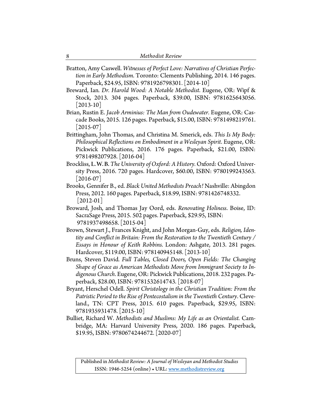Bratton, Amy Caswell. *Witnesses of Perfect Love: Narratives of Christian Perfection in Early Methodism*. Toronto: Clements Publishing, 2014. 146 pages. Paperback, \$24.95, ISBN: 9781926798301. [2014-10]

Breward, Ian*. Dr. Harold Wood: A Notable Methodist*. Eugene, OR: Wipf & Stock, 2013. 304 pages. Paperback, \$39.00, ISBN: 9781625643056.  $[2013-10]$ 

Brian, Rustin E. *Jacob Arminius: The Man from Oudewater.* Eugene, OR: Cascade Books, 2015. 126 pages. Paperback, \$15.00, ISBN: 9781498219761.  $[2015-07]$ 

Brittingham, John Thomas, and Christina M. Smerick, eds. *This Is My Body: Philosophical Reflections on Embodiment in a Wesleyan Spirit*. Eugene, OR: Pickwick Publications, 2016. 176 pages. Paperback, \$21.00, ISBN: 9781498207928. [2016-04]

Brockliss, L.W.B. *The University of Oxford: A History.* Oxford: Oxford University Press, 2016. 720 pages. Hardcover, \$60.00, ISBN: 9780199243563.  $[2016-07]$ 

Brooks, Gennifer B., ed. *Black United Methodists Preach!* Nashville: Abingdon Press, 2012. 160 pages. Paperback, \$18.99, ISBN: 9781426748332. [2012-01]

Broward, Josh, and Thomas Jay Oord, eds. *Renovating Holiness*. Boise, ID: SacraSage Press, 2015. 502 pages. Paperback, \$29.95, ISBN: 9781937498658. [2015-04]

Brown, Stewart J., Frances Knight, and John Morgan-Guy, eds. *Religion, Identity and Conflict in Britain: From the Restoration to the Twentieth Century / Essays in Honour of Keith Robbins*. London: Ashgate, 2013. 281 pages. Hardcover, \$119.00, ISBN: 978140945148. [2013-10]

Bruns, Steven David. *Full Tables, Closed Doors, Open Fields: The Changing Shape of Grace as American Methodists Move from Immigrant Society to Indigenous Church*. Eugene, OR: Pickwick Publications, 2018. 232 pages. Paperback, \$28.00, ISBN: 9781532614743. [2018-07]

Bryant, Herschel Odell. *Spirit Christology in the Christian Tradition: From the Patristic Period to the Rise of Pentecostalism in the Twentieth Century*. Cleveland., TN: CPT Press, 2015. 610 pages. Paperback, \$29.95, ISBN: 9781935931478. [2015-10]

Bulliet, Richard W. *Methodists and Muslims: My Life as an Orientalist.* Cambridge, MA: Harvard University Press, 2020. 186 pages. Paperback, \$19.95, ISBN: 9780674244672. [2020-07]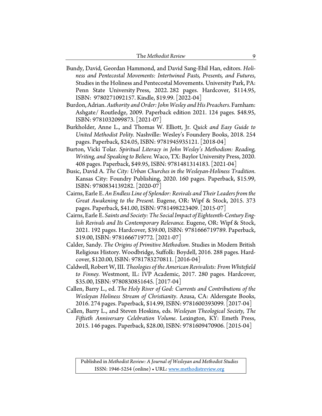- Bundy, David, Geordan Hammond, and David Sang-Ehil Han, editors. *Holiness and Pentecostal Movements: Intertwined Pasts, Presents, and Futures*, Studies in the Holiness and Pentecostal Movements. University Park, PA: Penn State University Press, 2022. 282 pages. Hardcover, \$114.95, ISBN: 9780271092157. Kindle, \$19.99. [2022-04]
- Burdon, Adrian. *Authority and Order: John Wesley and His Preachers*. Farnham: Ashgate/ Routledge, 2009. Paperback edition 2021. 124 pages. \$48.95, ISBN: 9781032099873. [2021-07]
- Burkholder, Anne L., and Thomas W. Elliott, Jr. *Quick and Easy Guide to United Methodist Polity.* Nashville: Wesley's Foundery Books, 2018. 254 pages. Paperback, \$24.05, ISBN: 9781945935121. [2018-04]
- Burton, Vicki Tolar. *Spiritual Literacy in John Wesley's Methodism: Reading, Writing, and Speaking to Believe.* Waco, TX: Baylor University Press, 2020. 408 pages. Paperback, \$49.95, ISBN: 9781481314183. [2021-04]
- Busic, David A. *The City: Urban Churches in the Wesleyan-Holiness Tradition*. Kansas City: Foundry Publishing, 2020. 160 pages. Paperback, \$15.99, ISBN: 9780834139282. [2020-07]
- Cairns, Earle E. *An Endless Line of Splendor: Revivals and Their Leaders from the Great Awakening to the Present*. Eugene, OR: Wipf & Stock, 2015. 373 pages. Paperback, \$41.00, ISBN: 9781498223409. [2015-07]
- Cairns, Earle E. *Saints and Society: The Social Impact of Eighteenth-Century English Revivals and Its Contemporary Relevance.* Eugene, OR: Wipf & Stock, 2021. 192 pages. Hardcover, \$39.00, ISBN: 9781666719789. Paperback, \$19.00, ISBN: 9781666719772. [2021-07]
- Calder, Sandy. *The Origins of Primitive Methodism*. Studies in Modern British Religious History. Woodbridge, Suffolk: Boydell, 2016. 288 pages. Hardcover, \$120.00, ISBN: 9781783270811. [2016-04]
- Caldwell, Robert W, III. *Theologies of the American Revivalists: From Whitefield to Finney.* Westmont, IL: IVP Academic, 2017. 280 pages. Hardcover, \$35.00, ISBN: 9780830851645. [2017-04]
- Callen, Barry L., ed. *The Holy River of God: Currents and Contributions of the Wesleyan Holiness Stream of Christianity*. Azusa, CA: Aldersgate Books, 2016. 274 pages. Paperback, \$14.99, ISBN: 9781600393099. [2017-04]
- Callen, Barry L., and Steven Hoskins, eds. *Wesleyan Theological Society, The Fiftieth Anniversary Celebration Volume*. Lexington, KY: Emeth Press, 2015. 146 pages. Paperback, \$28.00, ISBN: 9781609470906. [2015-04]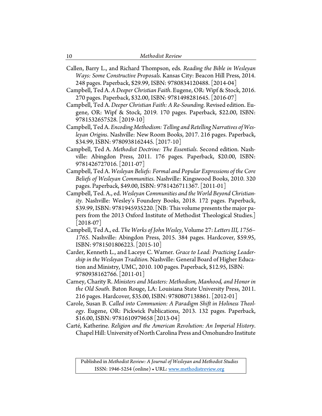Callen, Barry L., and Richard Thompson, eds*. Reading the Bible in Wesleyan Ways: Some Constructive Proposals*. Kansas City: Beacon Hill Press, 2014. 248 pages. Paperback, \$29.99, ISBN: 9780834120488. [2014-04]

Campbell, Ted A. *A Deeper Christian Faith*. Eugene, OR: Wipf & Stock, 2016. 270 pages. Paperback, \$32.00, ISBN: 9781498281645. [2016-07]

- Campbell, Ted A. *Deeper Christian Faith: A Re-Sounding*. Revised edition. Eugene, OR: Wipf & Stock, 2019. 170 pages. Paperback, \$22.00, ISBN: 9781532657528. [2019-10]
- Campbell, Ted A. *Encoding Methodism: Telling and Retelling Narratives of Wesleyan Origins*. Nashville: New Room Books, 2017. 216 pages. Paperback, \$34.99, ISBN: 9780938162445. [2017-10]
- Campbell, Ted A. *Methodist Doctrine: The Essentials*. Second edition. Nashville: Abingdon Press, 2011. 176 pages. Paperback, \$20.00, ISBN: 9781426727016. [2011-07]
- Campbell, Ted A. *Wesleyan Beliefs: Formal and Popular Expressions of the Core Beliefs of Wesleyan Communities*. Nashville: Kingswood Books, 2010. 320 pages. Paperback, \$49.00, ISBN: 9781426711367. [2011-01]
- Campbell, Ted. A., ed. *Wesleyan Communities and the World Beyond Christianity.* Nashville: Wesley's Foundery Books, 2018. 172 pages. Paperback, \$39.99, ISBN: 9781945935220.[NB: This volume presents the major papers from the 2013 Oxford Institute of Methodist Theological Studies.]  $[2018-07]$
- Campbell, Ted A., ed. *The Works of John Wesley*, Volume 27: *Letters III, 1756– 1765*. Nashville: Abingdon Press, 2015. 384 pages. Hardcover, \$59.95, ISBN: 9781501806223. [2015-10]
- Carder, Kenneth L., and Laceye C. Warner. *Grace to Lead: Practicing Leadership in the Wesleyan Tradition*. Nashville: General Board of Higher Education and Ministry, UMC, 2010. 100 pages. Paperback, \$12.95, ISBN: 9780938162766. [2011-01]
- Carney, Charity R. *Ministers and Masters: Methodism, Manhood, and Honor in the Old South*. Baton Rouge, LA: Louisiana State University Press, 2011. 216 pages. Hardcover, \$35.00, ISBN: 9780807138861. [2012-01]
- Carole, Susan B. *Called into Communion: A Paradigm Shift in Holiness Theology*. Eugene, OR: Pickwick Publications, 2013. 132 pages. Paperback, \$16.00, ISBN: 9781610979658 [2013-04]
- Carté, Katherine. *Religion and the American Revolution: An Imperial History*. Chapel Hill: University of North Carolina Press and Omohundro Institute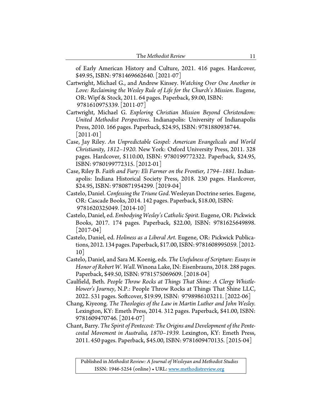of Early American History and Culture, 2021. 416 pages. Hardcover, \$49.95, ISBN: 9781469662640. [2021-07]

- Cartwright, Michael G., and Andrew Kinsey. *Watching Over One Another in Love: Reclaiming the Wesley Rule of Life for the Church's Mission*. Eugene, OR: Wipf & Stock, 2011. 64 pages. Paperback, \$9.00, ISBN: 9781610975339. [2011-07]
- Cartwright, Michael G. *Exploring Christian Mission Beyond Christendom: United Methodist Perspectives*. Indianapolis: University of Indianapolis Press, 2010. 166 pages. Paperback, \$24.95, ISBN: 9781880938744. [2011-01]
- Case, Jay Riley. *An Unpredictable Gospel: American Evangelicals and World Christianity, 1812–1920*. New York: Oxford University Press, 2011. 328 pages. Hardcover, \$110.00, ISBN: 9780199772322. Paperback, \$24.95, ISBN: 9780199772315. [2012-01]
- Case, Riley B. *Faith and Fury: Eli Farmer on the Frontier, 1794–1881.* Indianapolis: Indiana Historical Society Press, 2018. 230 pages. Hardcover, \$24.95, ISBN: 9780871954299. [2019-04]
- Castelo, Daniel. *Confessing the Triune God*. Wesleyan Doctrine series. Eugene, OR: Cascade Books, 2014. 142 pages. Paperback, \$18.00, ISBN: 9781620325049. [2014-10]
- Castelo, Daniel, ed. *Embodying Wesley's Catholic Spirit*. Eugene, OR: Pickwick Books, 2017. 174 pages. Paperback, \$22.00, ISBN: 9781625649898.  $|2017-04|$
- Castelo, Daniel, ed. *Holiness as a Liberal Art*. Eugene, OR: Pickwick Publications, 2012. 134 pages. Paperback, \$17.00, ISBN: 9781608995059. [2012- 10]
- Castelo, Daniel, and Sara M. Koenig, eds. *The Usefulness of Scripture: Essays in Honor of Robert W. Wall*. Winona Lake, IN: Eisenbrauns, 2018. 288 pages. Paperback, \$49.50, ISBN: 9781575069609. [2018-04]
- Caulfield, Beth. *People Throw Rocks at Things That Shine: A Clergy Whistleblower's Journey*, N.P.: People Throw Rocks at Things That Shine LLC, 2022. 531 pages. Softcover, \$19.99, ISBN: 9798986103211. [2022-06]
- Chang, Kiyeong. *The Theologies of the Law in Martin Luther and John Wesley.* Lexington, KY: Emeth Press, 2014. 312 pages. Paperback, \$41.00, ISBN: 9781609470746. [2014-07]
- Chant, Barry. *The Spirit of Pentecost: The Origins and Development of the Pentecostal Movement in Australia, 1870–1939.* Lexington, KY: Emeth Press, 2011. 450 pages. Paperback, \$45.00, ISBN: 9781609470135. [2015-04]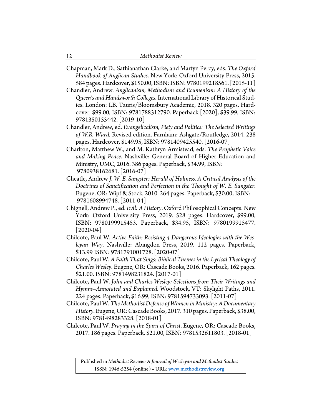| Chapman, Mark D., Sathianathan Clarke, and Martyn Percy, eds. The Oxford |
|--------------------------------------------------------------------------|
| Handbook of Anglican Studies. New York: Oxford University Press, 2015.   |
| 584 pages. Hardcover, \$150.00, ISBN: ISBN: 9780199218561. [2015-11]     |

Chandler, Andrew. *Anglicanism, Methodism and Ecumenism: A History of the Queen's and Handsworth Colleges*. International Library of Historical Studies. London: I.B. Tauris/Bloomsbury Academic, 2018. 320 pages. Hardcover, \$99.00, ISBN: 9781788312790. Paperback [2020], \$39.99, ISBN: 9781350155442. [2019-10]

- Chandler, Andrew, ed. *Evangelicalism, Piety and Politics: The Selected Writings of W.R. Ward.* Revised edition. Farnham: Ashgate/Routledge, 2014. 238 pages. Hardcover, \$149.95, ISBN: 9781409425540. [2016-07]
- Charlton, Matthew W., and M. Kathryn Armistead, eds. *The Prophetic Voice and Making Peace*. Nashville: General Board of Higher Education and Ministry, UMC, 2016. 386 pages. Paperback, \$34.99, ISBN: 9780938162681. [2016-07]
- Cheatle, Andrew *J. W. E. Sangster: Herald of Holiness. A Critical Analysis of the Doctrines of Sanctification and Perfection in the Thought of W. E. Sangster.* Eugene, OR: Wipf & Stock, 2010. 264 pages. Paperback, \$30.00, ISBN: 9781608994748. [2011-04]
- Chignell, Andrew P., ed. *Evil: A History*. Oxford Philosophical Concepts. New York: Oxford University Press, 2019. 528 pages. Hardcover, \$99.00, ISBN: 9780199915453. Paperback, \$34.95, ISBN: 9780199915477.  $|2020-04|$
- Chilcote, Paul W. *Active Faith: Resisting 4 Dangerous Ideologies with the Wesleyan Way*. Nashville: Abingdon Press, 2019. 112 pages. Paperback, \$13.99 ISBN: 9781791001728. [2020-07]
- Chilcote, Paul W. *A Faith That Sings: Biblical Themes in the Lyrical Theology of Charles Wesley*. Eugene, OR: Cascade Books, 2016. Paperback, 162 pages. \$21.00. ISBN: 9781498231824. [2017-01]
- Chilcote, Paul W. *John and Charles Wesley: Selections from Their Writings and Hymns–Annotated and Explained*. Woodstock, VT: Skylight Paths, 2011. 224 pages. Paperback, \$16.99, ISBN: 9781594733093. [2011-07]
- Chilcote, Paul W. *The Methodist Defense of Women in Ministry: A Documentary History*. Eugene, OR: Cascade Books, 2017. 310 pages. Paperback, \$38.00, ISBN: 9781498283328. [2018-01]
- Chilcote, Paul W. *Praying in the Spirit of Christ*. Eugene, OR: Cascade Books, 2017. 186 pages. Paperback, \$21.00, ISBN: 9781532611803. [2018-01]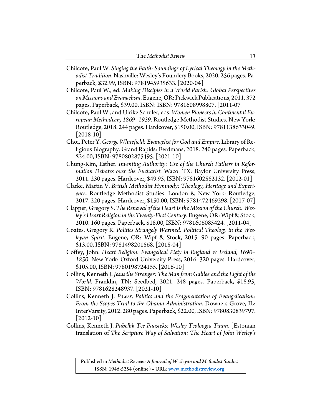| The Methodist Review |  |
|----------------------|--|
|----------------------|--|

Chilcote, Paul W. *Singing the Faith: Soundings of Lyrical Theology in the Methodist Tradition*. Nashville: Wesley's Foundery Books, 2020. 256 pages. Paperback, \$32.99, ISBN: 9781945935633. [2020-04]

Chilcote, Paul W., ed. *Making Disciples in a World Parish: Global Perspectives on Missions and Evangelism*. Eugene, OR: Pickwick Publications, 2011. 372 pages. Paperback, \$39.00, ISBN: ISBN: 9781608998807. [2011-07]

- Chilcote, Paul W., and Ulrike Schuler, eds. *Women Pioneers in Continental European Methodism, 1869–1939*. Routledge Methodist Studies. New York: Routledge, 2018. 244 pages. Hardcover, \$150.00, ISBN: 9781138633049.  $|2018-10|$
- Choi, Peter Y. *George Whitefield: Evangelist for God and Empire*. Library of Religious Biography. Grand Rapids: Eerdmans, 2018. 240 pages. Paperback, \$24.00, ISBN: 9780802875495. [2021-10]
- Chung-Kim, Esther. *Inventing Authority: Use of the Church Fathers in Reformation Debates over the Eucharist*. Waco, TX: Baylor University Press, 2011. 230 pages. Hardcover, \$49.95, ISBN: 9781602582132. [2012-01]
- Clarke, Martin V. *British Methodist Hymnody: Theology, Heritage and Experience*. Routledge Methodist Studies. London & New York: Routledge, 2017. 220 pages. Hardcover, \$150.00, ISBN: 9781472469298. [2017-07]
- Clapper, Gregory S. *The Renewal of the Heart Is the Mission of the Church: Wesley's Heart Religion in the Twenty-First Century*. Eugene, OR: Wipf & Stock, 2010. 160 pages. Paperback, \$18.00, ISBN: 9781606085424. [2011-04]
- Coates, Gregory R. *Politics Strangely Warmed: Political Theology in the Wesleyan Spirit*. Eugene, OR: Wipf & Stock, 2015. 90 pages. Paperback, \$13.00, ISBN: 9781498201568. [2015-04]
- Coffey, John. *Heart Religion: Evangelical Piety in England & Ireland, 1690– 1850.* New York: Oxford University Press, 2016. 320 pages. Hardcover, \$105.00, ISBN: 9780198724155. [2016-10]
- Collins, Kenneth J. *Jesus the Stranger: The Man from Galilee and the Light of the World*. Franklin, TN: Seedbed, 2021. 248 pages. Paperback, \$18.95, ISBN: 9781628248937. [2021-10]
- Collins, Kenneth J. *Power, Politics and the Fragmentation of Evangelicalism: From the Scopes Trial to the Obama Administration*. Downers Grove, IL: InterVarsity, 2012. 280 pages. Paperback, \$22.00, ISBN: 9780830839797.  $|2012-10|$
- Collins, Kenneth J. *Pübellik Tee Päästeks: Wesley Teoloogia Tuum*. [Estonian translation of *The Scripture Way of Salvation: The Heart of John Wesley's*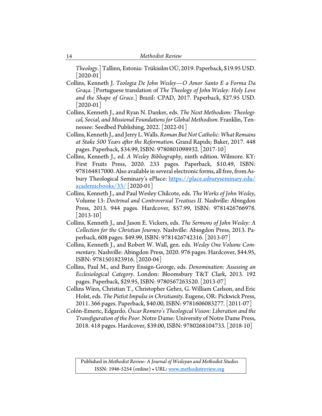*Theology*.] Tallinn, Estonia: Trükisilm OÜ, 2019. Paperback, \$19.95 USD. [2020-01]

- Collins, Kenneth J. *Teologia De John Wesley—O Amor Santo E a Forma Da Graça*. [Portuguese translation of *The Theology of John Wesley: Holy Love and the Shape of Grace*.] Brazil: CPAD, 2017. Paperback, \$27.95 USD.  $|2020-01|$
- Collins, Kenneth J., and Ryan N. Danker, eds. *The Next Methodism: Theological, Social, and Missional Foundations for Global Methodism*. Franklin, Tennessee: Seedbed Publishing, 2022. [2022-01]
- Collins, Kenneth J., and Jerry L. Walls.*Roman But Not Catholic: What Remains at Stake 500 Years after the Reformation*. Grand Rapids; Baker, 2017. 448 pages. Paperback, \$34.99, ISBN: 9780801098932. [2017-10]
- Collins, Kenneth J., ed. *A Wesley Bibliography*, ninth edition. Wilmore. KY: First Fruits Press, 2020. 233 pages. Paperback, \$10.49, ISBN: 978164817000. Also available in several electronic forms, all free, from Asbury Theological Seminary's ePlace: https://place.asburyseminary.edu/ [academicbooks/33/](https://place.asburyseminary.edu/academicbooks/33/) [2020-01]
- Collins, Kenneth J., and Paul Wesley Chilcote, eds. *The Works of John Wesley*, Volume 13: *Doctrinal and Controversial Treatises II*. Nashville: Abingdon Press, 2013. 944 pages. Hardcover, \$57.99, ISBN: 9781426766978.  $[2013-10]$
- Collins, Kenneth J., and Jason E. Vickers, eds. *The Sermons of John Wesley: A Collection for the Christian Journey*. Nashville: Abingdon Press, 2013. Paperback, 608 pages. \$49.99, ISBN: 9781426742316. [2013-07]
- Collins, Kenneth J., and Robert W. Wall, gen. eds. *Wesley One Volume Commentary.* Nashville: Abingdon Press, 2020. 976 pages. Hardcover, \$44.95, ISBN: 9781501823916. [2020-04]
- Collins, Paul M., and Barry Ensign-George, eds. *Denomination: Assessing an Ecclesiological Category*. London: Bloomsbury T&T Clark, 2013. 192 pages. Paperback, \$29.95, ISBN: 9780567263520. [2013-07]
- Collins Winn, Christian T., Christopher Gehrz, G. William Carlson, and Eric Holst, eds. *The Pietist Impulse in Christianity*. Eugene, OR: Pickwick Press, 2011. 366 pages. Paperback, \$40.00, ISBN: 9781606083277. [2011-07]
- Colón-Emeric, Edgardo. *Óscar Romero's Theological Vision: Liberation and the Transfiguration of the Poor.* Notre Dame: University of Notre Dame Press, 2018. 418 pages. Hardcover, \$39.00, ISBN: 9780268104733. [2018-10]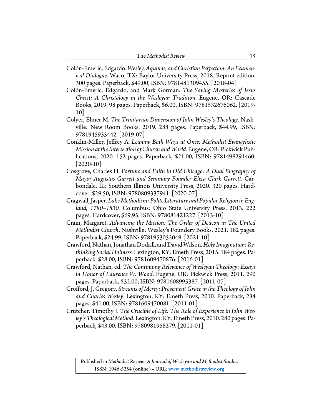| The Methodist Review |  |
|----------------------|--|
|----------------------|--|

Colón-Emeric, Edgardo. *Wesley, Aquinas, and Christian Perfection: An Ecumenical Dialogue*. Waco, TX: Baylor University Press, 2018. Reprint edition. 300 pages. Paperback, \$49.00, ISBN: 9781481309455. [2018-04]

Colón-Emeric, Edgardo, and Mark Gorman. *The Saving Mysteries of Jesus Christ: A Christology in the Wesleyan Tradition*. Eugene, OR: Cascade Books, 2019. 98 pages. Paperback, \$6.00, ISBN: 9781532676062. [2019- 10]

- Colyer, Elmer M. *The Trinitarian Dimension of John Wesley's Theology*. Nashville: New Room Books, 2019. 288 pages. Paperback, \$44.99, ISBN: 9781945935442. [2019-07]
- Conklin-Miller, Jeffrey A. *Leaning Both Ways at Once: Methodist Evangelistic Mission at the Intersection of Church and World.* Eugene, OR: Pickwick Publications, 2020. 152 pages. Paperback, \$21.00, ISBN: 9781498291460.  $[2020-10]$
- Cosgrove, Charles H. *Fortune and Faith in Old Chicago: A Dual Biography of Mayor Augustus Garrett and Seminary Founder Eliza Clark Garrett*. Carbondale, IL: Southern Illinois University Press, 2020. 320 pages. Hardcover, \$29.50, ISBN: 9780809337941. [2020-07]
- Cragwall, Jasper. *Lake Methodism: Polite Literature and Popular Religion in England, 1780–1830.* Columbus: Ohio State University Press, 2013. 222 pages. Hardcover, \$69.95, ISBN: 978081421227. [2013-10]
- Crain, Margaret. *Advancing the Mission: The Order of Deacon in The United Methodist Church*. Nashville: Wesley's Foundery Books, 2021. 182 pages. Paperback, \$24.99, ISBN: 9781953052049, [2021-10]
- Crawford, Nathan, Jonathan Dodrill, and David Wilson.*Holy Imagination: Rethinking Social Holiness.* Lexington, KY: Emeth Press, 2015. 184 pages. Paperback, \$28.00, ISBN: 9781609470876. [2016-01]
- Crawford, Nathan, ed. *The Continuing Relevance of Wesleyan Theology: Essays in Honor of Laurence W. Wood*. Eugene, OR: Pickwick Press, 2011. 290 pages. Paperback, \$32.00, ISBN: 9781608995387. [2011-07]
- Crofford, J. Gregory. *Streams of Mercy: Prevenient Grace in the Theology of John and Charles Wesley*. Lexington, KY: Emeth Press, 2010. Paperback, 234 pages. \$41.00, ISBN: 9781609470081. [2011-01]
- Crutcher, Timothy J. *The Crucible of Life: The Role of Experience in John Wesley's Theological Method*. Lexington, KY: Emeth Press, 2010. 280 pages. Paperback, \$43.00, ISBN: 9780981958279. [2011-01]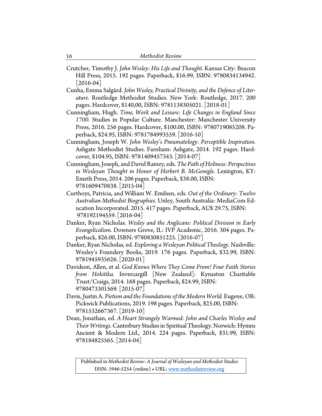- Crutcher, Timothy J. *John Wesley: His Life and Thought*. Kansas City: Beacon Hill Press, 2015. 192 pages. Paperback, \$16.99, ISBN: 9780834134942.  $|2016-04|$
- Cunha, Emma Salgård. *John Wesley, Practical Divinity, and the Defence of Literature.* Routledge Methodist Studies. New York: Routledge, 2017. 200 pages. Hardcover, \$140,00, ISBN: 9781138305021. [2018-01]
- Cunningham, Hugh. *Time, Work and Leisure: Life Changes in England Since 1700.* Studies in Popular Culture. Manchester: Manchester University Press, 2016. 256 pages. Hardcover, \$100.00, ISBN: 9780719085208. Paperback, \$24.95, ISBN: 9781784993559. [2016-10]
- Cunningham, Joseph W. *John Wesley's Pneumatology: Perceptible Inspiration*. Ashgate Methodist Studies. Farnham: Ashgate, 2014. 192 pages. Hardcover, \$104.95, ISBN: 9781409457343. [2014-07]
- Cunningham, Joseph, and David Rainey, eds. *The Path of Holiness: Perspectives*  in Wesleyan Thought in Honor of Herbert B. McGonigle. Lexington, KY: Emeth Press, 2014. 206 pages. Paperback, \$38.00, ISBN: 9781609470838. [2015-04]
- Curthoys, Patricia, and William W. Emilsen, eds. *Out of the Ordinary: Twelve Australian Methodist Biographies.* Unley, South Australia: MediaCom Education Incorporated. 2015. 417 pages. Paperback, AU\$ 29.75, ISBN: 978192194559. [2016-04]
- Danker, Ryan Nicholas. *Wesley and the Anglicans: Political Division in Early Evangelicalism*. Downers Grove, IL: IVP Academic, 2016. 304 pages. Paperback, \$26.00, ISBN: 9780830851225. [2016-07]
- Danker, Ryan Nicholas, ed. *Exploring a Wesleyan Political Theology.* Nashville: Wesley's Foundery Books, 2019. 176 pages. Paperback, \$32.99, ISBN: 9781945935626. [2020-01]
- Davidson, Allen, et al. *God Knows Where They Come From! Four Faith Stories from Hokitika*. Invercargill [New Zealand]: Kynaston Charitable Trust/Craigs, 2014. 168 pages. Paperback, \$24.99, ISBN: 9780473301569. [2015-07]
- Davis, Justin A. *Pietism and the Foundations of the Modern World.* Eugene, OR: Pickwick Publications, 2019. 198 pages. Paperback, \$25.00, ISBN: 9781532667367. [2019-10]
- Dean, Jonathan, ed. *A Heart Strangely Warmed: John and Charles Wesley and Their Writings*. Canterbury Studies in Spiritual Theology. Norwich: Hymns Ancient & Modern Ltd., 2014. 224 pages. Paperback, \$31.99, ISBN: 978184825565. [2014-04]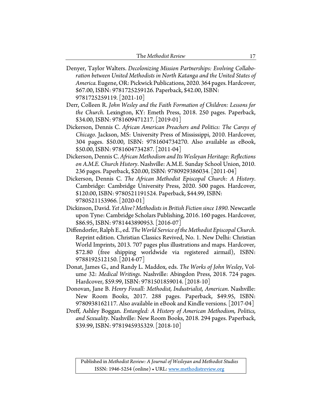- Denyer, Taylor Walters. *Decolonizing Mission Partnerships: Evolving Collaboration between United Methodists in North Katanga and the United States of America.* Eugene, OR: Pickwick Publications, 2020. 364 pages. Hardcover, \$67.00, ISBN: 9781725259126. Paperback, \$42.00, ISBN: 9781725259119. [2021-10]
- Derr, Colleen R. *John Wesley and the Faith Formation of Children: Lessons for the Church*. Lexington, KY: Emeth Press, 2018. 250 pages. Paperback, \$34.00, ISBN: 9781609471217. [2019-01]
- Dickerson, Dennis C. *African American Preachers and Politics: The Careys of Chicago*. Jackson, MS: University Press of Mississippi, 2010. Hardcover, 304 pages. \$50.00, ISBN: 9781604734270. Also available as eBook, \$50.00, ISBN: 9781604734287. [2011-04]
- Dickerson, Dennis C. *African Methodism and Its Wesleyan Heritage: Reflections on A.M.E. Church History*. Nashville: A.M.E. Sunday School Union, 2010. 236 pages. Paperback, \$20.00, ISBN: 9780929386034. [2011-04]
- Dickerson, Dennis C. *The African Methodist Episcopal Church: A History*. Cambridge: Cambridge University Press, 2020. 500 pages. Hardcover, \$120.00, ISBN: 9780521191524. Paperback, \$44.99, ISBN: 9780521153966. [2020-01]
- Dickinson, David. *Yet Alive? Methodists in British Fiction since 1890.* Newcastle upon Tyne: Cambridge Scholars Publishing, 2016. 160 pages. Hardcover, \$86.95, ISBN: 9781443890953. [2016-07]
- Diffendorfer, Ralph E., ed. *The World Service of the Methodist Episcopal Church*. Reprint edition. Christian Classics Revived, No. 1. New Delhi: Christian World Imprints, 2013. 707 pages plus illustrations and maps. Hardcover, \$72.80 (free shipping worldwide via registered airmail), ISBN: 9788192512150. [2014-07]
- Donat, James G., and Randy L. Maddox, eds. *The Works of John Wesley*, Volume 32: *Medical Writings*. Nashville: Abingdon Press, 2018. 724 pages. Hardcover, \$59.99, ISBN: 9781501859014. [2018-10]
- Donovan, Jane B. *Henry Foxall: Methodist, Industrialist, American*. Nashville: New Room Books, 2017. 288 pages. Paperback, \$49.95, ISBN: 9780938162117. Also available in eBook and Kindle versions. [2017-04]
- Dreff, Ashley Boggan. *Entangled: A History of American Methodism, Politics, and Sexuality*. Nashville: New Room Books, 2018. 294 pages. Paperback, \$39.99, ISBN: 9781945935329. [2018-10]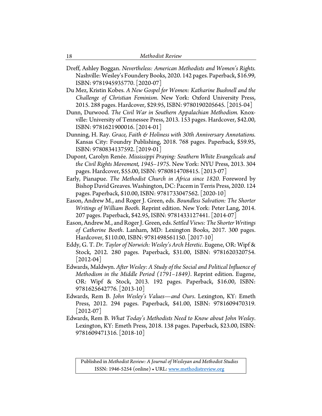- Dreff, Ashley Boggan. *Nevertheless: American Methodists and Women's Rights.* Nashville: Wesley's Foundery Books, 2020. 142 pages. Paperback, \$16.99, ISBN: 9781945935770. [2020-07]
- Du Mez, Kristin Kobes. *A New Gospel for Women: Katharine Bushnell and the Challenge of Christian Feminism*. New York: Oxford University Press, 2015. 288 pages. Hardcover, \$29.95, ISBN: 9780190205645. [2015-04]
- Dunn, Durwood. *The Civil War in Southern Appalachian Methodism.* Knoxville: University of Tennessee Press, 2013. 153 pages. Hardcover, \$42.00, ISBN: 9781621900016. [2014-01]
- Dunning, H. Ray. *Grace, Faith & Holiness with 30th Anniversary Annotations.* Kansas City: Foundry Publishing, 2018. 768 pages. Paperback, \$59.95, ISBN: 9780834137592. [2019-01]
- Dupont, Carolyn Renée. *Mississippi Praying: Southern White Evangelicals and the Civil Rights Movement, 1945–1975*. New York: NYU Press, 2013. 304 pages. Hardcover, \$55.00, ISBN: 9780814708415. [2013-07]
- Early, Pianapue. *The Methodist Church in Africa since 1820.* Foreword by Bishop David Greaves.Washington, DC: Pacem in Terris Press, 2020. 124 pages. Paperback, \$10.00, ISBN: 9781733047562. [2020-10]
- Eason, Andrew M., and Roger J. Green, eds. *Boundless Salvation: The Shorter Writings of William Booth.* Reprint edition. New York: Peter Lang, 2014. 207 pages. Paperback, \$42.95, ISBN: 9781433127441. [2014-07]
- Eason, Andrew M., and Roger J. Green, eds. *Settled Views: The Shorter Writings of Catherine Booth*. Lanham, MD: Lexington Books, 2017. 300 pages. Hardcover, \$110.00, ISBN: 9781498561150. [2017-10]
- Eddy, G. T. *Dr. Taylor of Norwich: Wesley's Arch Heretic*. Eugene, OR: Wipf & Stock, 2012. 280 pages. Paperback, \$31.00, ISBN: 9781620320754.  $[2012-04]$
- Edwards, Maldwyn. *After Wesley: A Study of the Social and Political Influence of Methodism in the Middle Period (1791–1849)*. Reprint edition. Eugene, OR: Wipf & Stock, 2013. 192 pages. Paperback, \$16.00, ISBN: 9781625642776. [2013-10]
- Edwards, Rem B. *John Wesley's Values—and Ours*. Lexington, KY: Emeth Press, 2012. 294 pages. Paperback, \$41.00, ISBN: 9781609470319.  $[2012-07]$
- Edwards, Rem B. *What Today's Methodists Need to Know about John Wesley*. Lexington, KY: Emeth Press, 2018. 138 pages. Paperback, \$23.00, ISBN: 9781609471316. [2018-10]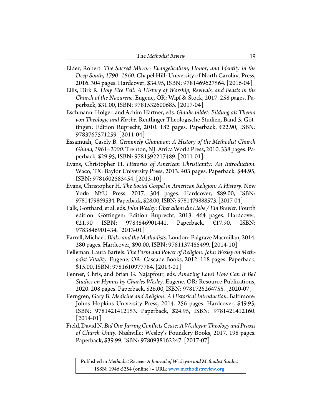| The Methodist Review |  |
|----------------------|--|
|----------------------|--|

- Elder, Robert. *The Sacred Mirror: Evangelicalism, Honor, and Identity in the Deep South, 1790–1860*. Chapel Hill: University of North Carolina Press, 2016. 304 pages. Hardcover, \$34.95, ISBN: 9781469627564. [2016-04]
- Ellis, Dirk R. *Holy Fire Fell: A History of Worship, Revivals, and Feasts in the Church of the Nazarene*. Eugene, OR: Wipf & Stock, 2017. 258 pages. Paperback, \$31.00, ISBN: 9781532600685. [2017-04]
- Eschmann, Holger, and Achim Härtner, eds. *Glaube bildet: Bildung als Thema von Theologie und Kirche*. Reutlinger Theologische Studien, Band 5. Göttingen: Edition Ruprecht, 2010. 182 pages. Paperback, €22.90, ISBN: 9783767571259. [2011-04]
- Essamuah, Casely B. *Genuinely Ghanaian: A History of the Methodist Church Ghana, 1961–2000*. Trenton, NJ: Africa World Press, 2010. 338 pages. Paperback, \$29.95, ISBN: 9781592217489. [2011-01]
- Evans, Christopher H. *Histories of American Christianity: An Introduction*. Waco, TX: Baylor University Press, 2013. 403 pages. Paperback, \$44.95, ISBN: 9781602585454. [2013-10]
- Evans, Christopher H. *The Social Gospel in American Religion: A History*. New York: NYU Press, 2017. 304 pages. Hardcover, \$89.00, ISBN: 9781479869534. Paperback, \$28.00, ISBN: 9781479888573. [2017-04]
- Falk, Gotthard, et al, eds. *John Wesley: Über allem die Liebe / Ein Brevier*. Fourth edition. Göttingen: Edition Ruprecht, 2013. 464 pages. Hardcover, €21.90 ISBN: 9783846901441. Paperback, €17.90, ISBN: 9783846901434. [2013-01]
- Farrell, Michael. *Blake and the Methodists*. London: Palgrave Macmillan, 2014. 280 pages. Hardcover, \$90.00, ISBN: 9781137455499. [2014-10]
- Felleman, Laura Bartels. *The Form and Power of Religion: John Wesley on Methodist Vitality*. Eugene, OR: Cascade Books, 2012. 118 pages. Paperback, \$15.00, ISBN: 9781610977784. [2013-01]
- Fenner, Chris, and Brian G. Najapfour, eds. *Amazing Love! How Can It Be? Studies on Hymns by Charles Wesley*. Eugene. OR: Resource Publications, 2020. 208 pages. Paperback, \$26.00, ISBN: 9781725264755. [2020-07]
- Ferngren, Gary B. *Medicine and Religion: A Historical Introduction*. Baltimore: Johns Hopkins University Press, 2014. 256 pages. Hardcover, \$49.95, ISBN: 9781421412153. Paperback, \$24.95, ISBN: 9781421412160.  $|2014-01|$
- Field, David N. *Bid Our Jarring Conflicts Cease: A Wesleyan Theology and Praxis of Church Unity*. Nashville: Wesley's Foundery Books, 2017. 198 pages. Paperback, \$39.99, ISBN: 9780938162247. [2017-07]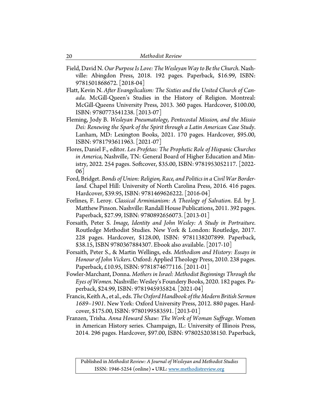- Field, David N. *Our Purpose Is Love: The Wesleyan Way to Be the Church*. Nashville: Abingdon Press, 2018. 192 pages. Paperback, \$16.99, ISBN: 9781501868672. [2018-04]
- Flatt, Kevin N. *After Evangelicalism: The Sixties and the United Church of Canada*. McGill-Queen's Studies in the History of Religion. Montreal: McGill-Queens University Press, 2013. 360 pages. Hardcover, \$100.00, ISBN: 9780773541238. [2013-07]
- Fleming, Jody B. *Wesleyan Pneumatology, Pentecostal Mission, and the Missio Dei: Renewing the Spark of the Spirit through a Latin American Case Study*. Lanham, MD: Lexington Books, 2021. 170 pages. Hardcover, \$95.00, ISBN: 9781793611963. [2021-07]
- Flores, Daniel F., editor. *Los Profetas: The Prophetic Role of Hispanic Churches in America,* Nashville, TN: General Board of Higher Education and Ministry, 2022. 254 pages. Softcover, \$35.00, ISBN: 9781953052117. [2022- 06]
- Ford, Bridget. *Bonds of Union: Religion, Race, and Politics in a Civil War Borderland.* Chapel Hill: University of North Carolina Press, 2016. 416 pages. Hardcover, \$39.95, ISBN: 9781469626222. [2016-04]
- Forlines, F. Leroy. *Classical Arminianism: A Theology of Salvation*. Ed. by J. Matthew Pinson. Nashville: Randall House Publications, 2011. 392 pages. Paperback, \$27.99, ISBN: 9780892656073. [2013-01]
- Forsaith, Peter S. *Image, Identity and John Wesley: A Study in Portraiture*. Routledge Methodist Studies. New York & London: Routledge, 2017. 228 pages. Hardcover, \$128.00, ISBN: 9781138207899. Paperback, \$38.15, ISBN 9780367884307. Ebook also available.[2017-10]
- Forsaith, Peter S., & Martin Wellings, eds. *Methodism and History: Essays in Honour of John Vickers*. Oxford: Applied Theology Press, 2010. 238 pages. Paperback, £10.95, ISBN: 9781874677116. [2011-01]
- Fowler-Marchant, Donna. *Mothers in Israel: Methodist Beginnings Through the Eyes of Women.* Nashville: Wesley's Foundery Books, 2020. 182 pages. Paperback, \$24.99, ISBN: 9781945935824. [2021-04]
- Francis, Keith A., et al., eds. *The Oxford Handbook of the Modern British Sermon 1689–1901*. New York: Oxford University Press, 2012. 880 pages. Hardcover, \$175.00, ISBN: 9780199583591. [2013-01]
- Franzen, Trisha. *Anna Howard Shaw: The Work of Woman Suffrage*. Women in American History series. Champaign, IL: University of Illinois Press, 2014. 296 pages. Hardcover, \$97.00, ISBN: 9780252038150. Paperback,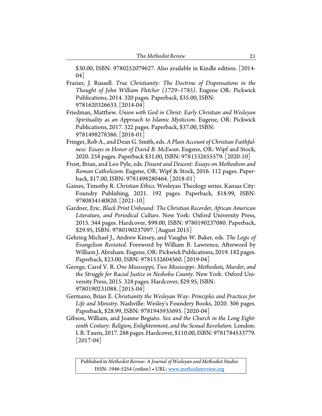\$30.00, ISBN: 9780252079627. Also available in Kindle edition. [2014- 04]

- Frazier, J. Russell. *True Christianity: The Doctrine of Dispensations in the Thought of John William Fletcher (1729–1785)*. Eugene OR: Pickwick Publications, 2014. 320 pages. Paperback, \$35.00, ISBN: 9781620326633. [2014-04]
- Friedman, Matthew. *Union with God in Christ: Early Christian and Wesleyan Spirituality as an Approach to Islamic Mysticism*. Eugene, OR: Pickwick Publications, 2017. 322 pages. Paperback, \$37.00, ISBN: 9781498278386. [2018-01]
- Fringer, Rob A., and Dean G. Smith, eds. *A Plain Account of Christian Faithfulness: Essays in Honor of David B. McEwan*. Eugene, OR: Wipf and Stock, 2020. 258 pages. Paperback \$31.00, ISBN: 9781532655579. [2020-10]
- Frost, Brian, and Leo Pyle, eds. *Dissent and Descent: Essays on Methodism and Roman Catholicism*. Eugene, OR: Wipf & Stock, 2016. 112 pages. Paperback, \$17.00, ISBN: 9781498280464. [2018-01]
- Gaines, Timothy R. *Christian Ethics*. Wesleyan Theology series. Kansas City: Foundry Publishing, 2021. 192 pages. Paperback, \$18.99, ISBN: 9780834140820. [2021-10]
- Gardner, Eric. *Black Print Unbound: The Christian Recorder, African American Literature, and Periodical Culture*. New York: Oxford University Press, 2015. 344 pages. Hardcover, \$99.00, ISBN: 9780190237080. Paperback, \$29.95, ISBN: 9780190237097. [August 2015]
- Gehring Michael J., Andrew Kinsey, and Vaughn W. Baker, eds. *The Logic of Evangelism Revisited.* Foreword by William B. Lawrence, Afterword by William J. Abraham. Eugene, OR: Pickwick Publications, 2019. 182 pages. Paperback, \$23.00, ISBN: 9781532604560. [2019-04]
- George, Carol V. R. *One Mississippi, Two Mississippi: Methodists, Murder, and the Struggle for Racial Justice in Neshoba County*. New York: Oxford University Press, 2015. 328 pages. Hardcover, \$29.95, ISBN: 9780190231088. [2015-04]
- Germano, Brian E. *Christianity the Wesleyan Way: Principles and Practices for Life and Ministry*. Nashville: Wesley's Foundery Books, 2020. 306 pages. Paperback, \$28.99, ISBN: 9781945935695.[2020-04]
- Gibson, William, and Joanne Begiato. *Sex and the Church in the Long Eighteenth Century: Religion, Enlightenment, and the Sexual Revolution.* London: I. B. Tauris, 2017. 288 pages. Hardcover, \$110.00, ISBN: 9781784533779.  $[2017-04]$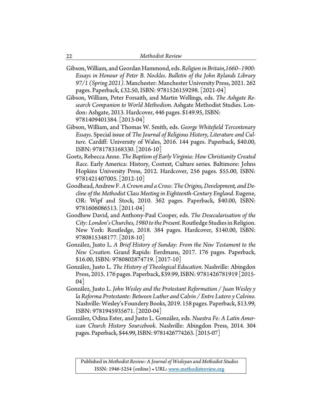- Gibson, William, and Geordan Hammond, eds. *Religion in Britain,1660–1900: Essays in Honour of Peter B. Nockles*. *Bulletin of the John Rylands Library 97/1 (Spring 2021)*. Manchester: Manchester University Press, 2021. 262 pages. Paperback, £32.50, ISBN: 9781526159298. [2021-04]
- Gibson, William, Peter Forsaith, and Martin Wellings, eds. *The Ashgate Research Companion to World Methodism*. Ashgate Methodist Studies. London: Ashgate, 2013. Hardcover, 446 pages. \$149.95, ISBN: 9781409401384. [2013-04]
- Gibson, William, and Thomas W. Smith, eds. *George Whitefield Tercentenary Essays*. Special issue of *The Journal of Religious History, Literature and Culture*. Cardiff: University of Wales, 2016. 144 pages. Paperback, \$40.00, ISBN: 9781783168330. [2016-10]
- Goetz, Rebecca Anne. *The Baptism of Early Virginia: How Christianity Created Race*. Early America: History, Context, Culture series. Baltimore: Johns Hopkins University Press, 2012. Hardcover, 256 pages. \$55.00, ISBN: 9781421407005. [2012-10]
- Goodhead, AndrewF. *A Crown and a Cross: The Origins, Development, and Decline of the Methodist Class Meeting in Eighteenth-Century England*. Eugene, OR: Wipf and Stock, 2010. 362 pages. Paperback, \$40.00, ISBN: 9781606086513. [2011-04]
- Goodhew David, and Anthony-Paul Cooper, eds. *The Desecularisation of the City: London's Churches, 1980 to the Present.*Routledge Studies in Religion. New York: Routledge, 2018. 384 pages. Hardcover, \$140.00, ISBN: 9780815348177. [2018-10]
- González, Justo L. *A Brief History of Sunday: From the New Testament to the New Creation*. Grand Rapids: Eerdmans, 2017. 176 pages. Paperback, \$16.00, ISBN: 9780802874719. [2017-10]
- González, Justo L. *The History of Theological Education*. Nashville: Abingdon Press, 2015. 176 pages. Paperback, \$39.99, ISBN: 9781426781919 [2015- 04]
- González, Justo L. *John Wesley and the Protestant Reformation / Juan Wesley y la Reforma Protestante: Between Luther and Calvin / Entre Lutero y Calvino*. Nashville: Wesley's Foundery Books, 2019. 158 pages. Paperback, \$13.99, ISBN: 9781945935671. [2020-04]
- González, Odina Ester, and Justo L. González, eds. *Nuestra Fe: A Latin American Church History Sourcebook*. Nashville: Abingdon Press, 2014. 304 pages. Paperback, \$44.99, ISBN: 9781426774263. [2015-07]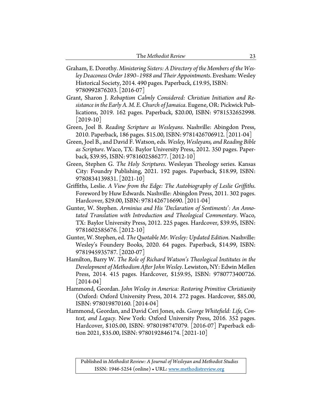- Graham, E. Dorothy. *Ministering Sisters: A Directory of the Members of the Wesley Deaconess Order 1890–1988 and Their Appointments*. Evesham: Wesley Historical Society, 2014. 490 pages. Paperback, £19.95, ISBN: 9780992876203. [2016-07]
- Grant, Sharon J. *Rebaptism Calmly Considered: Christian Initiation and Resistance in the Early A. M. E. Church of Jamaica*. Eugene, OR: Pickwick Publications, 2019. 162 pages. Paperback, \$20.00, ISBN: 9781532652998. [2019-10]
- Green, Joel B. *Reading Scripture as Wesleyans*. Nashville: Abingdon Press, 2010. Paperback, 186 pages. \$15.00, ISBN: 9781426706912. [2011-04]
- Green, Joel B., and David F. Watson, eds. *Wesley, Wesleyans, and Reading Bible as Scripture*. Waco, TX: Baylor University Press, 2012. 350 pages. Paperback, \$39.95, ISBN: 9781602586277. [2012-10]
- Green, Stephen G. *The Holy Scriptures*. Wesleyan Theology series. Kansas City: Foundry Publishing, 2021. 192 pages. Paperback, \$18.99, ISBN: 9780834139831. [2021-10]
- Griffiths, Leslie. *A View from the Edge: The Autobiography of Leslie Griffiths*. Foreword by Huw Edwards. Nashville: Abingdon Press, 2011. 302 pages. Hardcover, \$29.00, ISBN: 9781426716690. [2011-04]
- Gunter, W. Stephen. *Arminius and His 'Declaration of Sentiments': An Annotated Translation with Introduction and Theological Commentary*. Waco, TX: Baylor University Press, 2012. 225 pages. Hardcover, \$39.95, ISBN: 9781602585676. [2012-10]
- Gunter, W. Stephen, ed. *The Quotable Mr. Wesley: Updated Edition*. Nashville: Wesley's Foundery Books, 2020. 64 pages. Paperback, \$14.99, ISBN: 9781945935787. [2020-07]
- Hamilton, Barry W. *The Role of Richard Watson's Theological Institutes in the Development of Methodism After John Wesley*. Lewiston, NY: Edwin Mellen Press, 2014. 415 pages. Hardcover, \$159.95, ISBN: 9780773400726.  $|2014-04|$
- Hammond, Geordan. *John Wesley in America: Restoring Primitive Christianity*  (Oxford: Oxford University Press, 2014. 272 pages. Hardcover, \$85.00, ISBN: 978019870160. [2014-04]
- Hammond, Geordan, and David Ceri Jones, eds. *George Whitefield: Life, Context, and Legacy.* New York: Oxford University Press, 2016. 352 pages. Hardcover, \$105.00, ISBN: 9780198747079. [2016-07] Paperback edition 2021, \$35.00, ISBN: 9780192846174. [2021-10]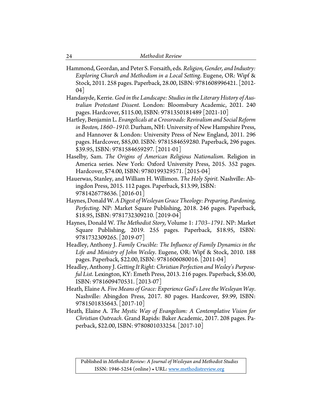- Hammond, Geordan, and Peter S. Forsaith, eds.*Religion, Gender, and Industry: Exploring Church and Methodism in a Local Setting*. Eugene, OR: Wipf & Stock, 2011. 258 pages. Paperback, 28.00, ISBN: 9781608996421. [2012- 04]
- Handasyde, Kerrie. *God in the Landscape: Studies in the Literary History of Australian Protestant Dissent*. London: Bloomsbury Academic, 2021. 240 pages. Hardcover, \$115.00, ISBN: 9781350181489 [2021-10]
- Hartley, Benjamin L. *Evangelicals at a Crossroads: Revivalism and Social Reform in Boston, 1860–1910*. Durham, NH: University of New Hampshire Press, and Hannover & London: University Press of New England, 2011. 296 pages. Hardcover, \$85,00. ISBN: 9781584659280. Paperback, 296 pages. \$39.95, ISBN: 9781584659297. [2011-01]
- Haselby, Sam. *The Origins of American Religious Nationalism*. Religion in America series. New York: Oxford University Press, 2015. 352 pages. Hardcover, \$74.00, ISBN: 9780199329571. [2015-04]
- Hauerwas, Stanley, and William H. Willimon. *The Holy Spirit.* Nashville: Abingdon Press, 2015. 112 pages. Paperback, \$13.99, ISBN: 9781426778636. [2016-01]
- Haynes, Donald W. *A Digest of Wesleyan Grace Theology: Preparing, Pardoning, Perfecting*. NP: Market Square Publishing, 2018. 246 pages. Paperback, \$18.95, ISBN: 9781732309210. [2019-04]
- Haynes, Donald W. *The Methodist Story,* Volume 1: *1703–1791*. NP: Market Square Publishing, 2019. 255 pages. Paperback, \$18.95, ISBN: 9781732309265. [2019-07]
- Headley, Anthony J. *Family Crucible: The Influence of Family Dynamics in the Life and Ministry of John Wesley*. Eugene, OR: Wipf & Stock, 2010. 188 pages. Paperback, \$22.00, ISBN: 9781606080016. [2011-04]
- Headley, Anthony J. *Getting It Right: Christian Perfection and Wesley's Purposeful List*. Lexington, KY: Emeth Press, 2013. 216 pages. Paperback, \$36.00, ISBN: 9781609470531. [2013-07]
- Heath, Elaine A. *Five Means of Grace: Experience God's Love the Wesleyan Way*. Nashville: Abingdon Press, 2017. 80 pages. Hardcover, \$9.99, ISBN: 9781501835643. [2017-10]
- Heath, Elaine A. *The Mystic Way of Evangelism: A Contemplative Vision for Christian Outreach*. Grand Rapids: Baker Academic, 2017. 208 pages. Paperback, \$22.00, ISBN: 9780801033254. [2017-10]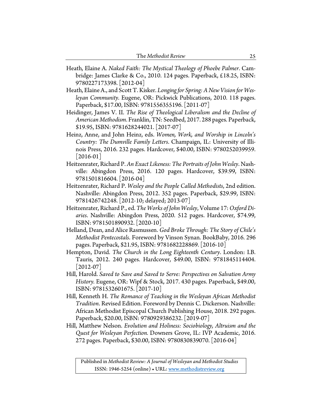- Heath, Elaine A. *Naked Faith: The Mystical Theology of Phoebe Palmer*. Cambridge: James Clarke & Co., 2010. 124 pages. Paperback, £18.25, ISBN: 9780227173398. [2012-04]
- Heath, Elaine A., and Scott T. Kisker. *Longing for Spring: A New Vision for Wesleyan Community*. Eugene, OR: Pickwick Publications, 2010. 118 pages. Paperback, \$17.00, ISBN: 9781556355196. [2011-07]
- Heidinger, James V. II. *The Rise of Theological Liberalism and the Decline of American Methodism*. Franklin, TN: Seedbed, 2017. 288 pages. Paperback, \$19.95, ISBN: 9781628244021. [2017-07]
- Heinz, Anne, and John Heinz, eds. *Women, Work, and Worship in Lincoln's Country: The Dumville Family Letters*. Champaign, IL: University of Illinois Press, 2016. 232 pages. Hardcover, \$40.00, ISBN: 9780252039959.  $|2016-01|$
- Heitzenrater, Richard P. *An Exact Likeness: The Portraits of John Wesley*. Nashville: Abingdon Press, 2016. 120 pages. Hardcover, \$39.99, ISBN: 9781501816604. [2016-04]
- Heitzenrater, Richard P. *Wesley and the People Called Methodists*, 2nd edition. Nashville: Abingdon Press, 2012. 352 pages. Paperback, \$29.99, ISBN: 9781426742248. [2012-10; delayed; 2013-07]
- Heitzenrater, Richard P., ed. *The Works of John Wesley*, Volume 17: *Oxford Diaries*. Nashville: Abingdon Press, 2020. 512 pages. Hardcover, \$74.99, ISBN: 9781501890932. [2020-10]
- Helland, Dean, and Alice Rasmussen. *God Broke Through: The Story of Chile's Methodist Pentecostals*. Foreword by Vinson Synan. BookBaby, 2016. 296 pages. Paperback, \$21.95, ISBN: 9781682228869. [2016-10]
- Hempton, David. *The Church in the Long Eighteenth Century*. London: I.B. Tauris, 2012. 240 pages. Hardcover, \$49.00, ISBN: 9781845114404.  $[2012-07]$
- Hill, Harold. *Saved to Save and Saved to Serve: Perspectives on Salvation Army History.* Eugene, OR: Wipf & Stock, 2017. 430 pages. Paperback, \$49.00, ISBN: 9781532601675. [2017-10]
- Hill, Kenneth H. *The Romance of Teaching in the Wesleyan African Methodist Tradition*. Revised Edition. Foreword by Dennis C. Dickerson. Nashville: African Methodist Episcopal Church Publishing House, 2018. 292 pages. Paperback, \$20.00, ISBN: 9780929386232. [2019-07]
- Hill, Matthew Nelson. *Evolution and Holiness: Sociobiology, Altruism and the Quest for Wesleyan Perfection.* Downers Grove, IL: IVP Academic, 2016. 272 pages. Paperback, \$30.00, ISBN: 9780830839070. [2016-04]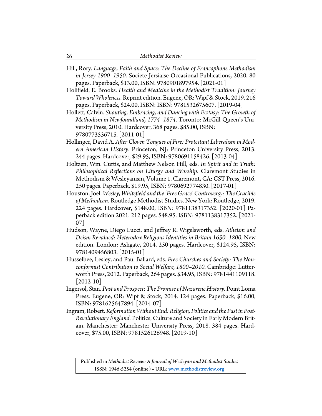- Hill, Rory. *Language, Faith and Space: The Decline of Francophone Methodism in Jersey 1900–1950*. Societe Jersiaise Occasional Publications, 2020. 80 pages. Paperback, \$13.00, ISBN: 9780901897954. [2021-01]
- Holifield, E. Brooks. *Health and Medicine in the Methodist Tradition: Journey Toward Wholeness*. Reprint edition. Eugene, OR: Wipf & Stock, 2019. 216 pages. Paperback, \$24.00, ISBN: ISBN: 9781532675607. [2019-04]
- Hollett, Calvin. *Shouting, Embracing, and Dancing with Ecstasy: The Growth of Methodism in Newfoundland, 1774–1874*. Toronto: McGill-Queen's University Press, 2010. Hardcover, 368 pages. \$85.00, ISBN: 9780773536715. [2011-01]
- Hollinger, David A. *After Cloven Tongues of Fire: Protestant Liberalism in Modern American History*. Princeton, NJ: Princeton University Press, 2013. 244 pages. Hardcover, \$29.95, ISBN: 9780691158426. [2013-04]
- Holtzen, Wm. Curtis, and Matthew Nelson Hill, eds. *In Spirit and in Truth: Philosophical Reflections on Liturgy and Worship*. Claremont Studies in Methodism & Wesleyanism, Volume 1. Claremont, CA: CST Press, 2016. 250 pages. Paperback, \$19.95, ISBN: 9780692774830. [2017-01]
- Houston, Joel. *Wesley, Whitefield and the 'Free Grace' Controversy: The Crucible of Methodism*. Routledge Methodist Studies. New York: Routledge, 2019. 224 pages. Hardcover, \$148.00, ISBN: 9781138317352. [2020-01] Paperback edition 2021. 212 pages. \$48.95, ISBN: 9781138317352. [2021- 07]
- Hudson, Wayne, Diego Lucci, and Jeffrey R. Wigelsworth, eds. *Atheism and Deism Revalued: Heterodox Religious Identities in Britain 1650–1800.* New edition. London: Ashgate, 2014. 250 pages. Hardcover, \$124.95, ISBN: 9781409456803. [2015-01]
- Husselbee, Lesley, and Paul Ballard, eds. *Free Churches and Society: The Nonconformist Contribution to Social Welfare, 1800–2010*. Cambridge: Lutterworth Press, 2012. Paperback, 264 pages. \$34.95, ISBN: 9781441109118.  $|2012-10|$
- Ingersol, Stan. *Past and Prospect: The Promise of Nazarene History.* Point Loma Press. Eugene, OR: Wipf & Stock, 2014. 124 pages. Paperback, \$16.00, ISBN: 9781625647894. [2014-07]
- Ingram, Robert. *Reformation Without End: Religion, Politics and the Past in Post-Revolutionary England.* Politics, Culture and Society in Early Modern Britain. Manchester: Manchester University Press, 2018. 384 pages. Hardcover, \$75.00, ISBN: 9781526126948. [2019-10]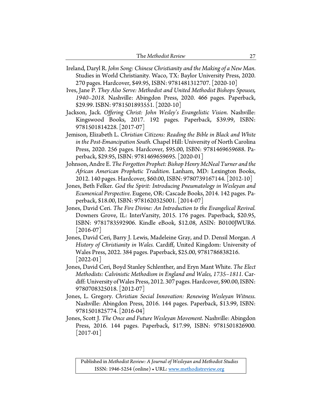| The Methodist Review |  |
|----------------------|--|
|----------------------|--|

- Ireland, Daryl R. *John Song: Chinese Christianity and the Making of a New Man*. Studies in World Christianity. Waco, TX: Baylor University Press, 2020. 270 pages. Hardcover, \$49.95, ISBN: 9781481312707. [2020-10]
- Ives, Jane P. *They Also Serve: Methodist and United Methodist Bishops Spouses, 1940–2018.* Nashville: Abingdon Press, 2020. 466 pages. Paperback, \$29.99. ISBN: 9781501893551. [2020-10]
- Jackson, Jack. *Offering Christ: John Wesley's Evangelistic Vision*. Nashville: Kingswood Books, 2017. 192 pages. Paperback, \$39.99, ISBN: 9781501814228. [2017-07]
- Jemison, Elizabeth L. *Christian Citizens: Reading the Bible in Black and White in the Post-Emancipation South.* Chapel Hill: University of North Carolina Press, 2020. 256 pages. Hardcover, \$95.00, ISBN: 9781469659688. Paperback, \$29.95, ISBN: 9781469659695. [2020-01]
- Johnson, Andre E. *The Forgotten Prophet: Bishop Henry McNeal Turner and the African American Prophetic Tradition*. Lanham, MD: Lexington Books, 2012. 140 pages. Hardcover, \$60.00, ISBN: 9780739167144. [2012-10]
- Jones, Beth Felker. *God the Spirit: Introducing Pneumatology in Wesleyan and Ecumenical Perspective*. Eugene, OR: Cascade Books, 2014. 142 pages. Paperback, \$18.00, ISBN: 9781620325001. [2014-07]
- Jones, David Ceri. *The Fire Divine: An Introduction to the Evangelical Revival.*  Downers Grove, IL: InterVarsity, 2015. 176 pages. Paperback, \$20.95, ISBN: 9781783592906. Kindle eBook, \$12.08, ASIN: B0100JWUR6.  $|2016-07|$
- Jones, David Ceri, Barry J. Lewis, Madeleine Gray, and D. Densil Morgan. *A History of Christianity in Wales.* Cardiff, United Kingdom: University of Wales Press, 2022. 384 pages. Paperback, \$25.00, 9781786838216. [2022-01]
- Jones, David Ceri, Boyd Stanley Schlenther, and Eryn Mant White. *The Elect Methodists: Calvinistic Methodism in England and Wales, 1735–1811.* Cardiff: University of Wales Press, 2012. 307 pages. Hardcover, \$90.00, ISBN: 9780708325018. [2012-07]
- Jones, L. Gregory. *Christian Social Innovation: Renewing Wesleyan Witness*. Nashville: Abingdon Press, 2016. 144 pages. Paperback, \$13.99, ISBN: 9781501825774. [2016-04]
- Jones, Scott J. *The Once and Future Wesleyan Movement*. Nashville: Abingdon Press, 2016. 144 pages. Paperback, \$17.99, ISBN: 9781501826900.  $|2017-01|$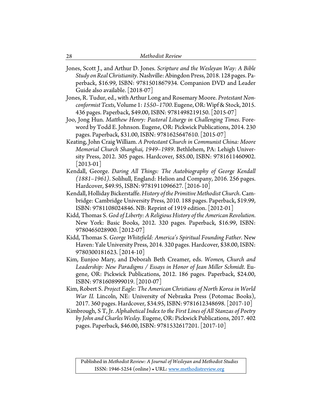Jones, Scott J., and Arthur D. Jones. *Scripture and the Wesleyan Way: A Bible Study on Real Christianity*. Nashville: Abingdon Press, 2018. 128 pages. Paperback, \$16.99, ISBN: 9781501867934. Companion DVD and Leader Guide also available. [2018-07]

- Jones, R. Tudur, ed., with Arthur Long and Rosemary Moore. *Protestant Nonconformist Texts*, Volume 1: *1550–1700*. Eugene, OR: Wipf & Stock, 2015. 436 pages. Paperback, \$49.00, ISBN: 9781498219150. [2015-07]
- Joo, Jong Hun. *Matthew Henry: Pastoral Liturgy in Challenging Times*. Foreword by Todd E. Johnson. Eugene, OR: Pickwick Publications, 2014. 230 pages. Paperback, \$31.00, ISBN: 9781625647610. [2015-07]
- Keating, John Craig William. *A Protestant Church in Communist China: Moore Memorial Church Shanghai, 1949–1989*. Bethlehem, PA: Lehigh University Press, 2012. 305 pages. Hardcover, \$85.00, ISBN: 9781611460902. [2013-01]
- Kendall, George. *Daring All Things: The Autobiography of George Kendall (1881–1961)*. Solihull, England: Helion and Company, 2016. 256 pages. Hardcover, \$49.95, ISBN: 9781911096627. [2016-10]
- Kendall, Holliday Bickerstaffe. *History of the Primitive Methodist Church*.Cambridge: Cambridge University Press, 2010. 188 pages. Paperback, \$19.99, ISBN: 9781108024846. NB: Reprint of 1919 edition. [2012-01]
- Kidd, Thomas S. *God of Liberty: A Religious History of the American Revolution*. New York: Basic Books, 2012. 320 pages. Paperback, \$16.99, ISBN: 9780465028900. [2012-07]
- Kidd, Thomas S. *George Whitefield: America's Spiritual Founding Father*. New Haven: Yale University Press, 2014. 320 pages. Hardcover, \$38.00, ISBN: 9780300181623. [2014-10]
- Kim, Eunjoo Mary, and Deborah Beth Creamer, eds. *Women, Church and Leadership: New Paradigms / Essays in Honor of Jean Miller Schmidt*. Eugene, OR: Pickwick Publications, 2012. 186 pages. Paperback, \$24.00, ISBN: 9781608999019. [2010-07]
- Kim, Robert S. *Project Eagle: The American Christians of North Korea in World War II.* Lincoln, NE: University of Nebraska Press (Potomac Books), 2017. 360 pages. Hardcover, \$34.95, ISBN: 9781612348698. [2017-10]
- Kimbrough, S T, Jr. *Alphabetical Index to the First Lines of All Stanzas of Poetry by John and Charles Wesley.* Eugene, OR: Pickwick Publications, 2017. 402 pages. Paperback, \$46.00, ISBN: 9781532617201. [2017-10]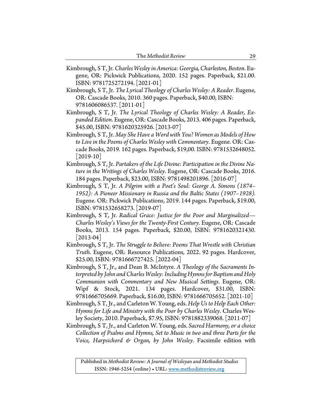- Kimbrough, S T, Jr. *Charles Wesley in America: Georgia, Charleston, Boston*. Eugene, OR: Pickwick Publications, 2020. 152 pages. Paperback, \$21.00. ISBN: 9781725272194. [2021-01]
- Kimbrough, S T, Jr. *The Lyrical Theology of Charles Wesley: A Reader*. Eugene, OR: Cascade Books, 2010. 360 pages. Paperback, \$40.00, ISBN: 9781606086537. [2011-01]
- Kimbrough, S T, Jr. *The Lyrical Theology of Charles Wesley: A Reader, Expanded Edition*. Eugene, OR: Cascade Books, 2013. 406 pages. Paperback, \$45.00, ISBN: 9781620325926. [2013-07]
- Kimbrough, S T, Jr. *May She Have a Word with You? Women as Models of How to Live in the Poems of Charles Wesley with Commentary*. Eugene. OR: Cascade Books, 2019. 162 pages. Paperback, \$19,00. ISBN: 9781532648052.  $|2019-10|$
- Kimbrough, S T, Jr. *Partakers of the Life Divine: Participation in the Divine Nature in the Writings of Charles Wesley*. Eugene, OR: Cascade Books, 2016. 184 pages. Paperback, \$23.00, ISBN: 9781498201896. [2016-07]
- Kimbrough, S T, Jr. *A Pilgrim with a Poet's Soul: George A. Simons (1874– 1952): A Pioneer Missionary in Russia and the Baltic States (1907–1928).* Eugene. OR: Pickwick Publications, 2019. 144 pages. Paperback, \$19.00, ISBN: 9781532658273. [2019-07]
- Kimbrough, S T, Jr. *Radical Grace: Justice for the Poor and Marginalized— Charles Wesley's Views for the Twenty-First Century*. Eugene, OR: Cascade Books, 2013. 154 pages. Paperback, \$20.00, ISBN: 9781620321430. [2013-04]
- Kimbrough, S T, Jr. *The Struggle to Believe: Poems That Wrestle with Christian Truth*. Eugene, OR: Resource Publications, 2022. 92 pages. Hardcover, \$25.00, ISBN: 9781666727425. [2022-04]
- Kimbrough, S T, Jr., and Dean B. McIntyre. *A Theology of the Sacraments Interpreted by John and Charles Wesley: Including Hymns for Baptism and Holy Communion with Commentary and New Musical Settings*. Eugene, OR: Wipf & Stock, 2021. 134 pages. Hardcover, \$31.00, ISBN: 9781666705669. Paperback, \$16.00, ISBN: 9781666705652. [2021-10]
- Kimbrough, S T, Jr., and Carleton W. Young, eds. *Help Us to Help Each Other: Hymns for Life and Ministry with the Poor by Charles Wesley*. Charles Wesley Society, 2010. Paperback, \$7.95, ISBN: 9781882339068. [2011-07]
- Kimbrough, S T, Jr., and Carleton W. Young, eds. *Sacred Harmony, or a choice Collection of Psalms and Hymns, Set to Music in two and three Parts for the Voice, Harpsichord & Organ, by John Wesley*. Facsimile edition with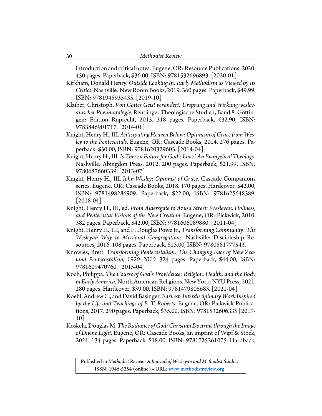introduction and critical notes. Eugene, OR: Resource Publications, 2020. 450 pages. Paperback, \$36.00, ISBN: 9781532696893. [2020-01]

Kirkham, Donald Henry. *Outside Looking In: Early Methodism as Viewed by Its Critics*. Nashville: New Room Books, 2019. 360 pages. Paperback, \$49.99, ISBN: 9781945935435. [2019-10]

- Klaiber, Christoph. *Von Gottes Geist verändert: Ursprung und Wirkung wesleyanischer Pneumatologie.* Reutlinger Theologische Studien, Band 8. Göttingen: Edition Ruprecht, 2013. 318 pages. Paperback, €32.90, ISBN: 9783846901717. [2014-01]
- Knight, Henry H., III.*Anticipating Heaven Below: Optimism of Grace from Wesley to the Pentecostals*. Eugene, OR: Cascade Books, 2014. 276 pages. Paperback, \$30.00, ISBN: 9781620329603. [2014-04]
- Knight, Henry H., III. *Is There a Future for God's Love? An Evangelical Theology*. Nashville: Abingdon Press, 2012. 200 pages. Paperback, \$21.99, ISBN: 9780687660339. [2013-07]
- Knight, Henry H., III. *John Wesley: Optimist of Grace*. Cascade Companions series. Eugene, OR: Cascade Books, 2018. 170 pages. Hardcover, \$42.00, ISBN: 9781498286909. Paperback, \$22.00, ISBN: 9781625648389.  $|2018-04|$
- Knight, Henry H., III, ed. *From Aldersgate to Azusa Street: Wesleyan, Holiness, and Pentecostal Visions of the New Creation*. Eugene, OR: Pickwick, 2010. 382 pages. Paperback, \$42.00, ISBN: 9781606089880. [2011-04]
- Knight, Henry H., III, and F. Douglas Powe Jr., *Transforming Community: The Wesleyan Way to Missional Congregations*. Nashville: Discipleship Resources, 2016. 108 pages. Paperback, \$15.00, ISBN: 9780881777543.
- Knowles, Brett. *Transforming Pentecostalism: The Changing Face of New Zealand Pentecostalism, 1920–2010*. 324 pages. Paperback, \$44.00, ISBN: 9781609470760. [2015-04]
- Koch, Philippa. *The Course of God's Providence: Religion, Health, and the Body in Early America.* North American Religions. New York: NYU Press, 2021. 280 pages. Hardcover, \$39.00, ISBN: 9781479806683. [2021-04]
- Koehl, Andrew C., and David Basinger. *Earnest: Interdisciplinary Work Inspired by the Life and Teachings of B. T. Roberts*. Eugene, OR: Pickwick Publications, 2017. 290 pages. Paperback, \$35.00, ISBN: 9781532606335 [2017- 10]
- Koskela, Douglas M.*The Radiance of God: Christian Doctrine through the Image of Divine Light*. Eugene, OR: Cascade Books, an imprint of Wipf & Stock, 2021. 134 pages. Paperback, \$18.00, ISBN: 9781725261075. Hardback,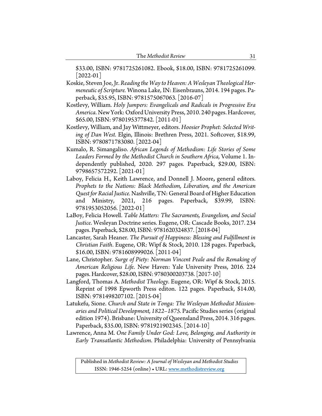\$33.00, ISBN: 9781725261082. Ebook, \$18.00, ISBN: 9781725261099. [2022-01]

- Koskie, Steven Joe, Jr. *Reading the Way to Heaven: A Wesleyan Theological Hermeneutic of Scripture.* Winona Lake, IN: Eisenbrauns, 2014. 194 pages. Paperback, \$35.95, ISBN: 9781575067063. [2016-07]
- Kostlevy, William. *Holy Jumpers: Evangelicals and Radicals in Progressive Era America*. New York: Oxford University Press, 2010. 240 pages. Hardcover, \$65.00, ISBN: 9780195377842. [2011-01]
- Kostlevy, William, and Jay Wittmeyer, editors. *Hoosier Prophet: Selected Writing of Dan West.* Elgin, Illinois: Brethren Press, 2021. Softcover, \$18.99, ISBN: 9780871783080. [2022-04]
- Kumalo, R. Simangaliso. *African Legends of Methodism: Life Stories of Some Leaders Formed by the Methodist Church in Southern Africa*, Volume 1. Independently published, 2020. 297 pages. Paperback, \$29.00, ISBN: 9798657572292. [2021-01]
- Laboy, Felicia H., Keith Lawrence, and Donnell J. Moore**,** general editors. *Prophets to the Nations: Black Methodism, Liberation, and the American Quest for Racial Justice.* Nashville, TN: General Board of Higher Education and Ministry, 2021, 216 pages. Paperback, \$39.99, ISBN: 9781953052056. [2022-01]
- LaBoy, Felicia Howell. *Table Matters: The Sacraments, Evangelism, and Social Justice*. Wesleyan Doctrine series. Eugene, OR: Cascade Books, 2017. 234 pages. Paperback, \$28.00, ISBN: 9781620324837. [2018-04]
- Lancaster, Sarah Heaner. *The Pursuit of Happiness: Blessing and Fulfillment in Christian Faith*. Eugene, OR: Wipf & Stock, 2010. 128 pages. Paperback, \$16.00, ISBN: 9781608999026. [2011-04]
- Lane, Christopher. *Surge of Piety: Norman Vincent Peale and the Remaking of American Religious Life*. New Haven: Yale University Press, 2016. 224 pages. Hardcover, \$28.00, ISBN: 9780300203738. [2017-10]
- Langford, Thomas A. *Methodist Theology*. Eugene, OR: Wipf & Stock, 2015. Reprint of 1998 Epworth Press editon. 122 pages. Paperback, \$14.00, ISBN: 9781498207102. [2015-04]
- Latukefu, Sione. *Church and State in Tonga: The Wesleyan Methodist Missionaries and Political Development, 1822–1875.* Pacific Studies series (original edition 1974). Brisbane: University of Queensland Press, 2014. 316 pages. Paperback, \$35.00, ISBN: 9781921902345. [2014-10]
- Lawrence, Anna M. *One Family Under God: Love, Belonging, and Authority in Early Transatlantic Methodism*. Philadelphia: University of Pennsylvania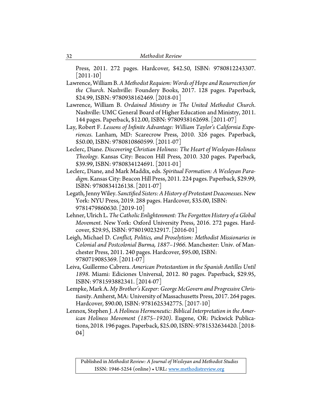Press, 2011. 272 pages. Hardcover, \$42.50, ISBN: 9780812243307. [2011-10]

- Lawrence, William B. *A Methodist Requiem: Words of Hope and Resurrection for the Church*. Nashville: Foundery Books, 2017. 128 pages. Paperback, \$24.99, ISBN: 9780938162469. [2018-01]
- Lawrence, William B. *Ordained Ministry in The United Methodist Church*. Nashville: UMC General Board of Higher Education and Ministry, 2011. 144 pages. Paperback, \$12.00, ISBN: 9780938162698. [2011-07]
- Lay, Robert F. *Lessons of Infinite Advantage: William Taylor's California Experiences*. Lanham, MD: Scarecrow Press, 2010. 326 pages. Paperback, \$50.00, ISBN: 9780810860599. [2011-07]
- Leclerc, Diane. *Discovering Christian Holiness: The Heart of Wesleyan-Holiness Theology*. Kansas City: Beacon Hill Press, 2010. 320 pages. Paperback, \$39.99, ISBN: 9780834124691. [2011-01]
- Leclerc, Diane, and Mark Maddix, eds. *Spiritual Formation: A Wesleyan Paradigm*. Kansas City: Beacon Hill Press, 2011. 224 pages. Paperback, \$29.99, ISBN: 9780834126138. [2011-07]
- Legath, Jenny Wiley. *Sanctified Sisters: A History of Protestant Deaconesses*. New York: NYU Press, 2019. 288 pages. Hardcover, \$35.00, ISBN: 9781479860630. [2019-10]
- Lehner, Ulrich L. *The Catholic Enlightenment: The Forgotten History of a Global Movement*. New York: Oxford University Press, 2016. 272 pages. Hardcover, \$29.95, ISBN: 9780190232917. [2016-01]
- Leigh, Michael D. *Conflict, Politics, and Proselytism: Methodist Missionaries in Colonial and Postcolonial Burma, 1887–1966*. Manchester: Univ. of Manchester Press, 2011. 240 pages. Hardcover, \$95.00, ISBN: 9780719085369. [2011-07]
- Leiva, Guillermo Cabrera. *American Protestantism in the Spanish Antilles Until 1898*. Miami: Ediciones Universal, 2012. 80 pages. Paperback, \$29.95, ISBN: 9781593882341. [2014-07]
- Lempke, Mark A. *My Brother's Keeper: George McGovern and Progressive Christianity*. Amherst, MA: University of Massachusetts Press, 2017. 264 pages. Hardcover, \$90.00, ISBN: 9781625342775. [2017-10]
- Lennox, Stephen J. *A Holiness Hermeneutic: Biblical Interpretation in the American Holiness Movement (1875–1920)*. Eugene, OR: Pickwick Publications, 2018. 196 pages. Paperback, \$25.00, ISBN: 9781532634420. [2018- 04]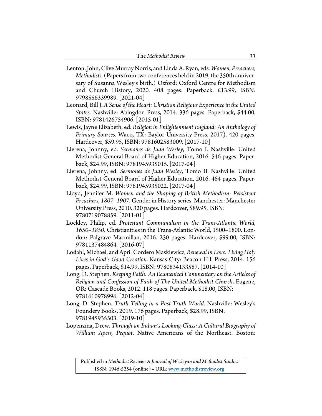- Lenton, John, Clive Murray Norris, and Linda A. Ryan, eds. *Women, Preachers, Methodists*. (Papers from two conferences held in 2019, the 350th anniversary of Susanna Wesley's birth.) Oxford: Oxford Centre for Methodism and Church History, 2020. 408 pages. Paperback, £13.99, ISBN: 9798556339989. [2021-04]
- Leonard, Bill J. *A Sense of the Heart: Christian Religious Experience in the United States*. Nashville: Abingdon Press, 2014. 336 pages. Paperback, \$44.00, ISBN: 9781426754906. [2015-01]
- Lewis, Jayne Elizabeth, ed. *Religion in Enlightenment England: An Anthology of Primary Sources*. Waco, TX: Baylor University Press, 2017). 420 pages. Hardcover, \$59.95, ISBN: 9781602583009. [2017-10]
- Llerena, Johnny, ed. *Sermones de Juan Wesley*, Tomo I. Nashville: United Methodist General Board of Higher Education, 2016. 546 pages. Paperback, \$24.99, ISBN: 9781945935015. [2017-04]
- Llerena, Johnny, ed. *Sermones de Juan Wesley*, Tomo II*.* Nashville: United Methodist General Board of Higher Education, 2016. 484 pages. Paperback, \$24.99, ISBN: 9781945935022. [2017-04]
- Lloyd, Jennifer M. *Women and the Shaping of British Methodism: Persistent Preachers, 1807–1907*. Gender in History series. Manchester: Manchester University Press, 2010. 320 pages. Hardcover, \$89.95, ISBN: 9780719078859. [2011-01]
- Lockley, Philip, ed. *Protestant Communalism in the Trans-Atlantic World, 1650–1850*. Christianities in the Trans-Atlantic World, 1500–1800. London: Palgrave Macmillan, 2016. 230 pages. Hardcover, \$99.00, ISBN: 9781137484864. [2016-07]
- Lodahl, Michael, and April Cordero Maskiewicz, *Renewal in Love: Living Holy Lives in God's Good Creation*. Kansas City: Beacon Hill Press, 2014. 156 pages. Paperback, \$14.99, ISBN: 9780834133587. [2014-10]
- Long, D. Stephen. *Keeping Faith: An Ecumenical Commentary on the Articles of Religion and Confession of Faith of The United Methodist Church*. Eugene, OR: Cascade Books, 2012. 118 pages. Paperback, \$18.00, ISBN: 9781610978996. [2012-04]
- Long, D. Stephen. *Truth Telling in a Post-Truth World*. Nashville: Wesley's Foundery Books, 2019. 176 pages. Paperback, \$28.99, ISBN: 9781945935503. [2019-10]
- Lopenzina, Drew. *Through an Indian's Looking-Glass: A Cultural Biography of William Apess, Pequot*. Native Americans of the Northeast. Boston: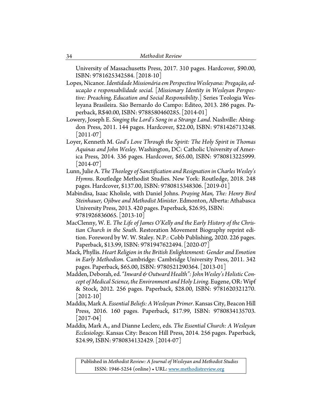University of Massachusetts Press, 2017. 310 pages. Hardcover, \$90.00, ISBN: 9781625342584. [2018-10]

Lopes, Nicanor. *Identidade Missionária em Perspectiva Wesleyana: Pregação, educação e responsabilidade social*. [*Missionary Identity in Wesleyan Perspective: Preaching, Education and Social Responsibility*.] Series Teologia Wesleyana Brasileira. São Bernardo do Campo: Editeo, 2013. 286 pages. Paperback, R\$40.00, ISBN: 9788580460285. [2014-01]

- Lowery, Joseph E. *Singing the Lord's Song in a Strange Land*. Nashville: Abingdon Press, 2011. 144 pages. Hardcover, \$22.00, ISBN: 9781426713248.  $|2011-07|$
- Loyer, Kenneth M. *God's Love Through the Spirit: The Holy Spirit in Thomas Aquinas and John Wesley.* Washington, DC: Catholic University of America Press, 2014. 336 pages. Hardcover, \$65.00, ISBN: 9780813225999.  $[2014-07]$
- Lunn, Julie A. *The Theology of Sanctification and Resignation in Charles Wesley's Hymns*. Routledge Methodist Studies. New York: Routledge, 2018. 248 pages. Hardcover, \$137.00, ISBN: 9780815348306. [2019-01]
- Mabindisa, Isaac Kholisle, with Daniel Johns. *Praying Man, The: Henry Bird Steinhauer, Ojibwe and Methodist Minister*. Edmonton, Alberta: Athabasca University Press, 2013. 420 pages. Paperback, \$26.95, ISBN: 9781926836065. [2013-10]
- MacClenny, W. E. *The Life of James O'Kelly and the Early History of the Christian Church in the South*. Restoration Movement Biography reprint edition. Foreword by W. W. Staley. N.P.: Cobb Publishing, 2020. 226 pages. Paperback, \$13.99, ISBN: 9781947622494. [2020-07]
- Mack, Phyllis. *Heart Religion in the British Enlightenment: Gender and Emotion in Early Methodism*. Cambridge: Cambridge University Press, 2011. 342 pages. Paperback, \$65.00, ISBN: 9780521290364. [2013-01]
- Madden, Deborah, ed. *"Inward & Outward Health": John Wesley's Holistic Concept of Medical Science, the Environment and Holy Living*. Eugene, OR: Wipf & Stock, 2012. 256 pages. Paperback, \$28.00, ISBN: 9781620321270.  $[2012-10]$
- Maddix, Mark A. *Essential Beliefs: A Wesleyan Primer*. Kansas City, Beacon Hill Press, 2016. 160 pages. Paperback, \$17.99, ISBN: 9780834135703. [2017-04]
- Maddix, Mark A., and Dianne Leclerc, eds. *The Essential Church: A Wesleyan Ecclesiology*. Kansas City: Beacon Hill Press, 2014. 256 pages. Paperback, \$24.99, ISBN: 9780834132429. [2014-07]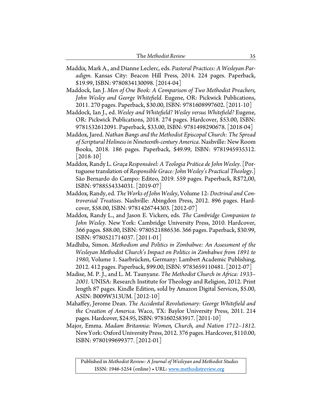- Maddix, Mark A., and Dianne Leclerc, eds. *Pastoral Practices: A Wesleyan Paradigm*. Kansas City: Beacon Hill Press, 2014. 224 pages. Paperback, \$19.99, ISBN: 9780834130098. [2014-04]
- Maddock, Ian J. *Men of One Book: A Comparison of Two Methodist Preachers, John Wesley and George Whitefield*. Eugene, OR: Pickwick Publications, 2011. 270 pages. Paperback, \$30.00, ISBN: 9781608997602. [2011-10]
- Maddock, Ian J., ed. *Wesley and Whitefield? Wesley versus Whitefield?* Eugene, OR: Pickwick Publications, 2018. 274 pages. Hardcover, \$53.00, ISBN: 9781532612091. Paperback, \$33.00, ISBN: 9781498290678. [2018-04]
- Maddox, Jared. *Nathan Bangs and the Methodist Episcopal Church: The Spread of Scriptural Holiness in Nineteenth-century America*. Nashville: New Room Books, 2018. 186 pages. Paperback, \$49.99, ISBN: 9781945935312.  $[2018-10]$
- Maddox, Randy L. *Graça Responsável: A Teologia Prática de John Wesley*. [Portuguese translation of *Responsible Grace: John Wesley's Practical Theology*.] São Bernardo do Campo: Editeo, 2019. 559 pages. Paperback, R\$72,00, ISBN: 9788554334031. [2019-07]
- Maddox, Randy, ed. *The Works of John Wesley*, Volume 12:*Doctrinal and Controversial Treatises*. Nashville: Abingdon Press, 2012. 896 pages. Hardcover, \$58.00, ISBN: 9781426744303. [2012-07]
- Maddox, Randy L., and Jason E. Vickers, eds. *The Cambridge Companion to John Wesley*. New York: Cambridge University Press, 2010. Hardcover, 366 pages. \$88.00, ISBN: 9780521886536. 366 pages. Paperback, \$30.99, ISBN: 9780521714037. [2011-01]
- Madhiba, Simon. *Methodism and Politics in Zimbabwe: An Assessment of the Wesleyan Methodist Church's Impact on Politics in Zimbabwe from 1891 to 1980*, Volume 1. Saarbrücken, Germany: Lambert Academic Publishing, 2012. 412 pages. Paperback, \$99.00, ISBN: 9783659110481. [2012-07]
- Madise, M. P. J., and L. M. Taunyane. *The Methodist Church in Africa: 1933– 2001.* UNISA: Research Institute for Theology and Religion, 2012. Print length 87 pages. Kindle Edition, sold by Amazon Digital Services, \$5.00, ASIN: B009W313UM. [2012-10]
- Mahaffey, Jerome Dean. *The Accidental Revolutionary: George Whitefield and the Creation of America*. Waco, TX: Baylor University Press, 2011. 214 pages. Hardcover, \$24.95, ISBN: 9781602583917. [2011-10]
- Major, Emma. *Madam Britannia: Women, Church, and Nation 1712–1812*. New York: Oxford University Press, 2012. 376 pages. Hardcover, \$110.00, ISBN: 9780199699377. [2012-01]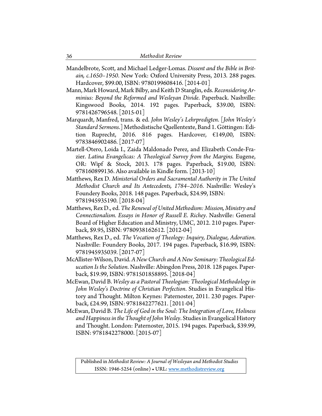- Mandelbrote, Scott, and Michael Ledger-Lomas. *Dissent and the Bible in Britain, c.1650–1950*. New York: Oxford University Press, 2013. 288 pages. Hardcover, \$99.00, ISBN: 9780199608416. [2014-01]
- Mann, Mark Howard, Mark Bilby, and Keith D Stanglin, eds.*Reconsidering Arminius: Beyond the Reformed and Wesleyan Divide*. Paperback. Nashville: Kingswood Books, 2014. 192 pages. Paperback, \$39.00, ISBN: 9781426796548. [2015-01]
- Marquardt, Manfred, trans. & ed. *John Wesley's Lehrpredigten*. [*John Wesley's Standard Sermons*.] Methodistische Quellentexte, Band 1. Göttingen: Edition Ruprecht, 2016. 816 pages. Hardcover, €149,00, ISBN: 9783846902486. [2017-07]
- Martell-Otero, Loida I., Zaida Maldonado Perez, and Elizabeth Conde-Frazier. *Latina Evangelicas: A Theological Survey from the Margins.* Eugene, OR: Wipf & Stock, 2013. 178 pages. Paperback, \$19.00, ISBN: 978160899136. Also available in Kindle form. [2013-10]
- Matthews, Rex D. *Ministerial Orders and Sacramental Authority in The United Methodist Church and Its Antecedents, 1784–2016*. Nashville: Wesley's Foundery Books, 2018. 148 pages. Paperback, \$24.99, ISBN: 9781945935190. [2018-04]
- Matthews, Rex D., ed. *The Renewal of United Methodism: Mission, Ministry and Connectionalism. Essays in Honor of Russell E. Richey*. Nashville: General Board of Higher Education and Ministry, UMC, 2012. 210 pages. Paperback, \$9.95, ISBN: 9780938162612. [2012-04]
- Matthews, Rex D., ed. *The Vocation of Theology: Inquiry, Dialogue, Adoration*. Nashville: Foundery Books, 2017. 194 pages. Paperback, \$16.99, ISBN: 9781945935039. [2017-07]
- McAllister-Wilson, David. *A New Church and A New Seminary: Theological Education Is the Solution*. Nashville: Abingdon Press, 2018. 128 pages. Paperback, \$19.99, ISBN: 9781501858895. [2018-04]
- McEwan, David B. *Wesley as a Pastoral Theologian: Theological Methodology in John Wesley's Doctrine of Christian Perfection*. Studies in Evangelical History and Thought. Milton Keynes: Paternoster, 2011. 230 pages. Paperback, £24.99, ISBN: 9781842277621. [2011-04]
- McEwan, David B. *The Life of God in the Soul: The Integration of Love, Holiness and Happiness in the Thought of John Wesley*. Studies in Evangelical History and Thought. London: Paternoster, 2015. 194 pages. Paperback, \$39.99, ISBN: 9781842278000. [2015-07]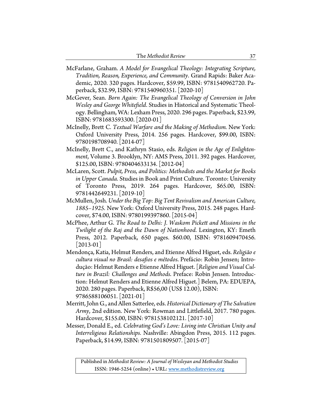| The Methodist Review |  |
|----------------------|--|
|----------------------|--|

- McFarlane, Graham. *A Model for Evangelical Theology: Integrating Scripture, Tradition, Reason, Experience, and Community*. Grand Rapids: Baker Academic, 2020. 320 pages. Hardcover, \$59.99, ISBN: 9781540962720. Paperback, \$32.99, ISBN: 9781540960351. [2020-10]
- McGever, Sean. *Born Again: The Evangelical Theology of Conversion in John Wesley and George Whitefield*. Studies in Historical and Systematic Theology. Bellingham, WA: Lexham Press, 2020. 296 pages. Paperback, \$23.99, ISBN: 9781683593300. [2020-01]
- McInelly, Brett C. *Textual Warfare and the Making of Methodism.* New York: Oxford University Press, 2014. 256 pages. Hardcover, \$99.00, ISBN: 9780198708940. [2014-07]
- McInelly, Brett C., and Kathryn Stasio, eds. *Religion in the Age of Enlightenment*, Volume 3. Brooklyn, NY: AMS Press, 2011. 392 pages. Hardcover, \$125.00, ISBN: 9780404633134. [2012-04]
- McLaren, Scott. *Pulpit, Press, and Politics: Methodists and the Market for Books in Upper Canada*. Studies in Book and Print Culture. Toronto: University of Toronto Press, 2019. 264 pages. Hardcover, \$65.00, ISBN: 9781442649231. [2019-10]
- McMullen, Josh. *Under the Big Top: Big Tent Revivalism and American Culture, 1885–1925.* New York: Oxford University Press, 2015. 248 pages. Hardcover, \$74.00, ISBN: 9780199397860. [2015-04]
- McPhee, Arthur G. *The Road to Delhi: J. Waskom Pickett and Missions in the Twilight of the Raj and the Dawn of Nationhood*. Lexington, KY: Emeth Press, 2012. Paperback, 650 pages. \$60.00, ISBN: 9781609470456.  $|2013-01|$
- Mendonça, Katia, Helmut Renders, and Etienne Alfred Higuet, eds. *Religião e cultura visual no Brasil: desafios e métodos*. Prefácio: Robin Jensen; Introdução: Helmut Renders e Etienne Alfred Higuet. [*Religion and Visual Culture in Brazil: Challenges and Methods*. Preface: Robin Jensen. Introduction: Helmut Renders and Etienne Alfred Higuet.] Belem, PA: EDUEPA, 2020. 280 pages. Paperback, R\$56,00 (US\$ 12.00), ISBN: 9786588106051. [2021-01]
- Merritt, John G., and Allen Satterlee, eds. *Historical Dictionary of The Salvation Army*, 2nd edition. New York: Rowman and Littlefield, 2017. 780 pages. Hardcover, \$155.00, ISBN: 9781538102121. [2017-10]
- Messer, Donald E., ed. *Celebrating God's Love: Living into Christian Unity and Interreligious Relationships.* Nashville: Abingdon Press, 2015. 112 pages. Paperback, \$14.99, ISBN: 9781501809507. [2015-07]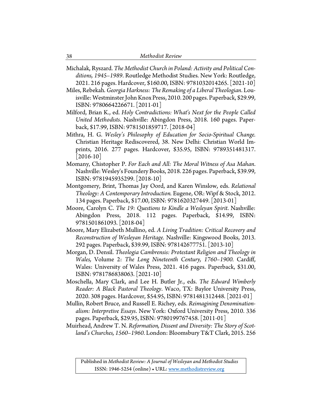Michalak, Ryszard. *The Methodist Church in Poland: Activity and Political Conditions, 1945–1989*. Routledge Methodist Studies. New York: Routledge, 2021. 216 pages. Hardcover, \$160.00, ISBN: 9781032014265. [2021-10]

Miles, Rebekah. *Georgia Harkness: The Remaking of a Liberal Theologian*. Louisville: Westminster John Knox Press, 2010. 200 pages. Paperback, \$29.99, ISBN: 9780664226671. [2011-01]

- Milford, Brian K., ed. *Holy Contradictions: What's Next for the People Called United Methodists*. Nashville: Abingdon Press, 2018. 160 pages. Paperback, \$17.99, ISBN: 9781501859717. [2018-04]
- Mithra, H. G. *Wesley's Philosophy of Education for Socio-Spiritual Change.* Christian Heritage Rediscovered, 38. New Delhi: Christian World Imprints, 2016. 277 pages. Hardcover, \$35.95, ISBN: 9789351481317.  $[2016-10]$
- Momany, Chistopher P. *For Each and All: The Moral Witness of Asa Mahan*. Nashville: Wesley's Foundery Books, 2018. 226 pages. Paperback, \$39.99, ISBN: 9781945935299. [2018-10]
- Montgomery, Brint, Thomas Jay Oord, and Karen Winslow, eds. *Relational Theology: A Contemporary Introduction.* Eugene, OR: Wipf & Stock, 2012. 134 pages. Paperback, \$17.00, ISBN: 9781620327449. [2013-01]
- Moore, Carolyn C. *The 19: Questions to Kindle a Wesleyan Spirit*. Nashville: Abingdon Press, 2018. 112 pages. Paperback, \$14.99, ISBN: 9781501861093. [2018-04]
- Moore, Mary Elizabeth Mullino, ed. *A Living Tradition: Critical Recovery and Reconstruction of Wesleyan Heritage.* Nashville: Kingswood Books, 2013. 292 pages. Paperback, \$39.99, ISBN: 978142677751. [2013-10]
- Morgan, D. Densil. *Theologia Cambrensis: Protestant Religion and Theology in Wales,* Volume 2: *The Long Nineteenth Century, 1760–1900.* Cardiff, Wales: University of Wales Press, 2021. 416 pages. Paperback, \$31.00, ISBN: 9781786838063. [2021-10]
- Moschella, Mary Clark, and Lee H. Butler Jr., eds. *The Edward Wimberly Reader: A Black Pastoral Theology*. Waco, TX: Baylor University Press, 2020. 308 pages. Hardcover, \$54.95, ISBN: 9781481312448. [2021-01]
- Mullin, Robert Bruce, and Russell E. Richey, eds. *Reimagining Denominationalism: Interpretive Essays*. New York: Oxford University Press, 2010. 336 pages. Paperback, \$29.95, ISBN: 9780199767458. [2011-01]
- Muirhead, Andrew T. N. *Reformation, Dissent and Diversity: The Story of Scotland's Churches, 1560–1960*. London: Bloomsbury T&T Clark, 2015. 256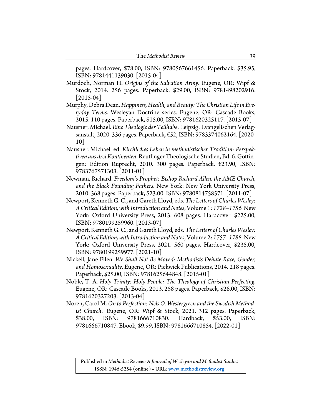pages. Hardcover, \$78.00, ISBN: 9780567661456. Paperback, \$35.95, ISBN: 9781441139030. [2015-04]

- Murdoch, Norman H. *Origins of the Salvation Army*. Eugene, OR: Wipf & Stock, 2014. 256 pages. Paperback, \$29.00, ISBN: 9781498202916.  $[2015-04]$
- Murphy, Debra Dean. *Happiness, Health, and Beauty: The Christian Life in Everyday Terms*. Wesleyan Doctrine series. Eugene, OR: Cascade Books, 2015. 110 pages. Paperback, \$15.00, ISBN: 9781620325117. [2015-07]
- Nausner, Michael. *Eine Theologie der Teilhabe*. Leipzig: Evangelischen Verlagsanstalt, 2020. 336 pages. Paperback, €52, ISBN: 9783374062164. [2020- 10]
- Nausner, Michael, ed. *Kirchliches Leben in methodistischer Tradition: Perspektiven aus drei Kontinenten*. Reutlinger Theologische Studien, Bd. 6. Göttingen: Edition Ruprecht, 2010. 300 pages. Paperback, €23.90, ISBN: 9783767571303. [2011-01]
- Newman, Richard. *Freedom's Prophet: Bishop Richard Allen, the AME Church, and the Black Founding Fathers*. New York: New York University Press, 2010. 368 pages. Paperback, \$23.00, ISBN: 9780814758571. [2011-07]
- Newport, Kenneth G. C., and Gareth Lloyd, eds. *The Letters of Charles Wesley: A Critical Edition, with Introduction and Notes*,Volume 1: *1728–1756.* New York: Oxford University Press, 2013. 608 pages. Hardcover, \$225.00, ISBN: 9780199259960. [2013-07]
- Newport, Kenneth G. C., and Gareth Lloyd, eds. *The Letters of Charles Wesley: A Critical Edition, with Introduction and Notes*,Volume 2: *1757–1788*. New York: Oxford University Press, 2021. 560 pages. Hardcover, \$235.00, ISBN: 9780199259977. [2021-10]
- Nickell, Jane Ellen. *We Shall Not Be Moved: Methodists Debate Race, Gender, and Homosexuality*. Eugene, OR: Pickwick Publications, 2014. 218 pages. Paperback, \$25.00, ISBN: 9781625644848. [2015-01]
- Noble, T. A. *Holy Trinity: Holy People: The Theology of Christian Perfecting*. Eugene, OR: Cascade Books, 2013. 258 pages. Paperback, \$28.00, ISBN: 9781620327203. [2013-04]
- Noren, Carol M.*On to Perfection: Nels O. Westergreen and the Swedish Methodist Church*. Eugene, OR: Wipf & Stock, 2021. 312 pages. Paperback, \$38.00, ISBN: 9781666710830. Hardback, \$53.00, ISBN: 9781666710847. Ebook, \$9.99, ISBN: 9781666710854. [2022-01]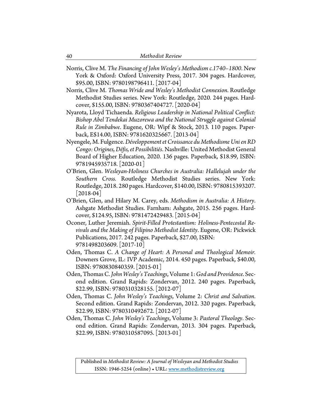- Norris, Clive M. *The Financing of John Wesley's Methodism c.1740–1800*. New York & Oxford: Oxford University Press, 2017. 304 pages. Hardcover, \$95.00, ISBN: 9780198796411. [2017-04]
- Norris, Clive M. *Thomas Wride and Wesley's Methodist Connexion*. Routledge Methodist Studies series. New York: Routledge, 2020. 244 pages. Hardcover, \$155.00, ISBN: 9780367404727. [2020-04]
- Nyarota, Lloyd Tichaenda. *Religious Leadership in National Political Conflict: Bishop Abel Tendekai Muzorewa and the National Struggle against Colonial Rule in Zimbabwe*. Eugene, OR: Wipf & Stock, 2013. 110 pages. Paperback, E\$14.00, ISBN: 9781620325667. [2013-04]
- Nyengele, M. Fulgence. *Développement et Croissance du Methodisme Uni en RD Congo: Origines, Défis, et Possibilitiés*. Nashville: United Methodist General Board of Higher Education, 2020. 136 pages. Paperback, \$18.99, ISBN: 9781945935718. [2020-01]
- O'Brien, Glen. *Wesleyan-Holiness Churches in Australia: Hallelujah under the Southern Cross.* Routledge Methodist Studies series. New York: Routledge, 2018. 280 pages. Hardcover, \$140.00, ISBN: 9780815393207.  $[2018-04]$
- O'Brien, Glen, and Hilary M. Carey, eds. *Methodism in Australia: A History*. Ashgate Methodist Studies. Farnham: Ashgate, 2015. 256 pages. Hardcover, \$124.95, ISBN: 9781472429483. [2015-04]
- Oconer, Luther Jeremiah. *Spirit-Filled Protestantism: Holiness-Pentecostal Revivals and the Making of Filipino Methodist Identity*. Eugene, OR: Pickwick Publications, 2017. 242 pages. Paperback, \$27.00, ISBN: 9781498203609. [2017-10]
- Oden, Thomas C. *A Change of Heart: A Personal and Theological Memoir.* Downers Grove, IL: IVP Academic, 2014. 450 pages. Paperback, \$40.00, ISBN: 9780830840359. [2015-01]
- Oden, Thomas C. *John Wesley's Teachings*, Volume 1:*God and Providence*. Second edition. Grand Rapids: Zondervan, 2012. 240 pages. Paperback, \$22.99, ISBN: 9780310328155. [2012-07]
- Oden, Thomas C. *John Wesley's Teachings*, Volume 2: *Christ and Salvation*. Second edition. Grand Rapids: Zondervan, 2012. 320 pages. Paperback, \$22.99, ISBN: 9780310492672. [2012-07]
- Oden, Thomas C. *John Wesley's Teachings*, Volume 3: *Pastoral Theology*. Second edition. Grand Rapids: Zondervan, 2013. 304 pages. Paperback, \$22.99, ISBN: 9780310587095. [2013-01]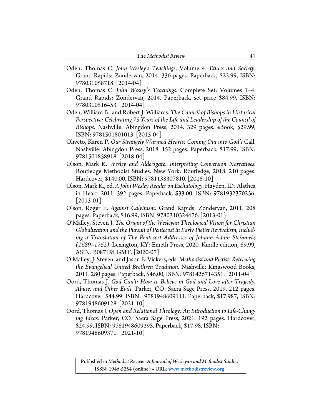- Oden, Thomas C. *John Wesley's Teachings*, Volume 4: *Ethics and Society*. Grand Rapids: Zondervan, 2014. 336 pages. Paperback, \$22.99, ISBN: 978031058718. [2014-04]
- Oden, Thomas C. *John Wesley's Teachings*. Complete Set: Volumes 1–4. Grand Rapids: Zondervan, 2014. Paperback, set price \$84.99, ISBN: 9780310516453. [2014-04]
- Oden, William B., and Robert J. Williams. *The Council of Bishops in Historical Perspective: Celebrating 75 Years of the Life and Leadership of the Council of Bishops*. Nashville: Abingdon Press, 2014. 329 pages. eBook, \$29.99, ISBN: 9781501801013. [2015-04]
- Oliveto, Karen P. *Our Strangely Warmed Hearts: Coming Out into God's* Call. Nashville: Abingdon Press, 2018. 152 pages. Paperback, \$17.99, ISBN: 9781501858918. [2018-04]
- Olson, Mark K. *Wesley and Aldersgate: Interpreting Conversion Narratives*. Routledge Methodist Studies. New York: Routledge, 2018. 210 pages. Hardcover, \$140.00, ISBN: 9781138307810. [2018-10]
- Olson, Mark K., ed. *A John Wesley Reader on Eschatology*. Hayden. ID: Alathea in Heart, 2011. 392 pages. Paperback, \$33.00, ISBN: 9781932370256.  $|2013-01|$
- Olson, Roger E. *Against Calvinism.* Grand Rapids: Zondervan, 2011. 208 pages. Paperback, \$16.99, ISBN: 9780310324676. [2013-01]
- O'Malley, Steven J. *The Origin of the Wesleyan Theological Vision for Christian Globalization and the Pursuit of Pentecost in Early Pietist Revivalism, Including a Translation of The Pentecost Addresses of Johann Adam Steinmetz (1689–1762)*. Lexington, KY: Emeth Press, 2020. Kindle edition, \$9.99, ASIN: B087L9LGMT. [2020-07]
- O'Malley, J. Steven, and Jason E. Vickers, eds. *Methodist and Pietist: Retrieving the Evangelical United Brethren Tradition*. Nashville: Kingswood Books, 2011. 280 pages. Paperback, \$46,00, ISBN: 9781426714351. [2011-04]
- Oord, Thomas J. *God Can't: How to Believe in God and Love after Tragedy, Abuse, and Other Evils.* Parker, CO: Sacra Sage Press, 2019. 212 pages. Hardcover, \$44.99, ISBN: 9781948609111. Paperback, \$17.987, ISBN: 9781948609128. [2021-10]
- Oord, Thomas J. *Open and Relational Theology: An Introduction to Life-Changing Ideas*. Parker, CO: Sacra Sage Press, 2021. 192 pages. Hardcover, \$24.99, ISBN: 9781948609395. Paperback, \$17.98, ISBN: 9781948609371. [2021-10]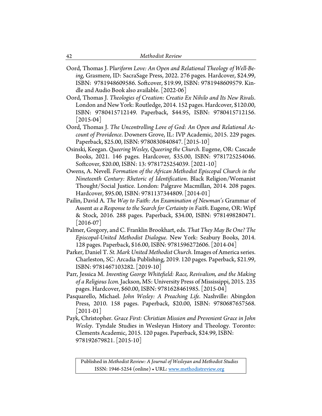- Oord, Thomas J. P*luriform Love: An Open and Relational Theology of Well-Being*, Grasmere, ID: SacraSage Press, 2022. 276 pages. Hardcover, \$24.99, ISBN: 9781948609586. Softcover, \$19.99, ISBN: 9781948609579. Kindle and Audio Book also available. [2022-06]
- Oord, Thomas J. *Theologies of Creation: Creatio Ex Nihilo and Its New Rivals*. London and New York: Routledge, 2014. 152 pages. Hardcover, \$120.00, ISBN: 9780415712149. Paperback, \$44.95, ISBN: 9780415712156. [2015-04]
- Oord, Thomas J. *The Uncontrolling Love of God: An Open and Relational Account of Providence*. Downers Grove, IL: IVP Academic, 2015. 229 pages. Paperback, \$25.00, ISBN: 9780830840847. [2015-10]
- Osinski, Keegan. *Queering Wesley, Queering the Church*. Eugene, OR: Cascade Books, 2021. 146 pages. Hardcover, \$35.00, ISBN: 9781725254046. Softcover, \$20.00, ISBN: 13: 9781725254039. [2021-10]
- Owens, A. Nevell*. Formation of the African Methodist Episcopal Church in the Nineteenth Century: Rhetoric of Identification*. Black Religion/Womanist Thought/Social Justice. London: Palgrave Macmillan, 2014. 208 pages. Hardcover, \$95.00, ISBN: 9781137344809. [2014-01]
- Pailin, David A. *The Way to Faith: An Examination of Newman's* Grammar of Assent *as a Response to the Search for Certainty in Faith*. Eugene, OR: Wipf & Stock, 2016. 288 pages. Paperback, \$34.00, ISBN: 9781498280471.  $[2016-07]$
- Palmer, Gregory, and C. Franklin Brookhart, eds. *That They May Be One? The Episcopal-United Methodist Dialogue*. New York: Seabury Books, 2014. 128 pages. Paperback, \$16.00, ISBN: 9781596272606. [2014-04]
- Parker, Daniel T. *St. Mark United Methodist Church*. Images of America series. Charleston, SC: Arcadia Publishing, 2019. 120 pages. Paperback, \$21.99, ISBN: 9781467103282. [2019-10]
- Parr, Jessica M. *Inventing George Whitefield: Race, Revivalism, and the Making of a Religious Icon.* Jackson, MS: University Press of Mississippi, 2015. 235 pages. Hardcover, \$60.00, ISBN: 9781628461985. [2015-04]
- Pasquarello, Michael. *John Wesley: A Preaching Life*. Nashville: Abingdon Press, 2010. 158 pages. Paperback, \$20.00, ISBN: 9780687657568.  $|2011-01|$
- Payk, Christopher. *Grace First: Christian Mission and Prevenient Grace in John Wesley*. Tyndale Studies in Wesleyan History and Theology. Toronto: Clements Academic, 2015. 120 pages. Paperback, \$24.99, ISBN: 978192679821. [2015-10]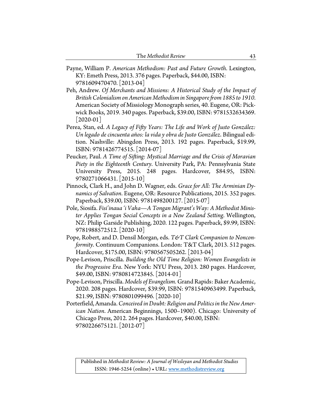- Payne, William P. *American Methodism: Past and Future Growth*. Lexington, KY: Emeth Press, 2013. 376 pages. Paperback, \$44.00, ISBN: 9781609470470. [2013-04]
- Peh, Andrew. *Of Merchants and Missions: A Historical Study of the Impact of British Colonialism on American Methodism in Singapore from 1885 to 1910*. American Society of Missiology Monograph series, 40. Eugene, OR: Pickwick Books, 2019. 340 pages. Paperback, \$39.00, ISBN: 9781532634369. [2020-01]
- Perea, Stan, ed. *A Legacy of Fifty Years: The Life and Work of Justo González: Un legado de cincuenta años: la vida y obra de Justo González*. Bilingual edition. Nashville: Abingdon Press, 2013. 192 pages. Paperback, \$19.99, ISBN: 9781426774515. [2014-07]
- Peucker, Paul. *A Time of Sifting: Mystical Marriage and the Crisis of Moravian Piety in the Eighteenth Century*. University Park, PA: Pennsylvania State University Press, 2015. 248 pages. Hardcover, \$84.95, ISBN: 9780271066431. [2015-10]
- Pinnock, Clark H., and John D. Wagner, eds. *Grace for All: The Arminian Dynamics of Salvation*. Eugene, OR: Resource Publications, 2015. 352 pages. Paperback, \$39.00, ISBN: 9781498200127. [2015-07]
- Pole, Siosifa. *Fisi'inaua 'i Vaha—A Tongan Migrant's Way: A Methodist Minister Applies Tongan Social Concepts in a New Zealand Setting*. Wellington, NZ: Philip Garside Publishing, 2020. 122 pages. Paperback, \$9.99, ISBN: 9781988572512. [2020-10]
- Pope, Robert, and D. Densil Morgan, eds. T&T Clark Companion to Noncon*formity*. Continuum Companions. London: T&T Clark, 2013. 512 pages. Hardcover, \$175.00, ISBN: 9780567505262. [2013-04]
- Pope-Levison, Priscilla. *Building the Old Time Religion: Women Evangelists in the Progressive Era*. New York: NYU Press, 2013. 280 pages. Hardcover, \$49.00, ISBN: 9780814723845. [2014-01]
- Pope-Levison, Priscilla. *Models of Evangelism.* Grand Rapids: Baker Academic, 2020. 208 pages. Hardcover, \$39.99, ISBN: 9781540963499. Paperback, \$21.99, ISBN: 9780801099496. [2020-10]
- Porterfield, Amanda.*Conceived in Doubt: Religion and Politics in the New American Nation*. American Beginnings, 1500–1900). Chicago: University of Chicago Press, 2012. 264 pages. Hardcover, \$40.00, ISBN: 9780226675121. [2012-07]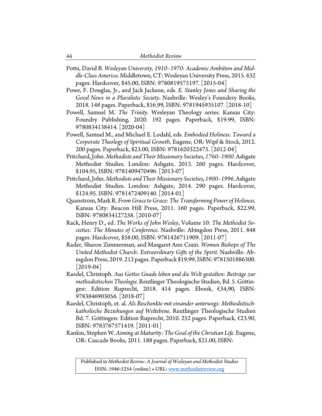Potts, David B. *Wesleyan University, 1910–1970: Academic Ambition and Middle-Class America*. Middletown, CT: Wesleyan University Press, 2015. 632 pages. Hardcover, \$45.00, ISBN: 9780819575197. [2015-04]

Powe, F. Douglas, Jr., and Jack Jackson, eds. *E. Stanley Jones and Sharing the Good News in a Pluralistic Society*. Nashville: Wesley's Foundery Books, 2018. 148 pages. Paperback, \$16.99, ISBN: 9781945935107. [2018-10]

- Powell, Samuel M. *The Trinity.* Wesleyan Theology series. Kansas City: Foundry Publishing, 2020. 192 pages. Paperback, \$19.99, ISBN: 9780834138414. [2020-04]
- Powell, Samuel M., and Michael E. Lodahl, eds. *Embodied Holiness: Toward a Corporate Theology of Spiritual Growth*. Eugene, OR: Wipf & Stock, 2012. 200 pages. Paperback, \$23.00, ISBN: 9781620322475. [2012-04]
- Pritchard, John. *Methodists and Their Missionary Societies, 1760–1900.* Ashgate Methodist Studies. London: Ashgate, 2013. 260 pages. Hardcover, \$104.95, ISBN: 9781409470496. [2013-07]
- Pritchard, John. *Methodists and Their Missionary Societies, 1900–1996.* Ashgate Methodist Studies. London: Ashgate, 2014. 290 pages. Hardcover, \$124.95. ISBN: 9781472409140. [2014-01]
- Quanstrom, Mark R. *From Grace to Grace: The Transforming Power of Holiness*. Kansas City: Beacon Hill Press, 2011. 160 pages. Paperback, \$22.99, ISBN: 9780834127258. [2010-07]
- Rack, Henry D., ed. *The Works of John Wesley*, Volume 10: *The Methodist Societies: The Minutes of Conference*. Nashville: Abingdon Press, 2011. 848 pages. Hardcover, \$58.00, ISBN: 9781426711909. [2011-07]
- Rader, Sharon Zimmerman, and Margaret Ann Crain. *Women Bishops of The United Methodist Church: Extraordinary Gifts of the Spirit.* Nashville: Abingdon Press, 2019. 212 pages. Paperback \$19.99, ISBN: 9781501886300. [2019-04]
- Raedel, Christoph. *Aus Gottes Gnade leben und die Welt gestalten: Beiträge zur methodistischen Theologie*. Reutlinger Theologische Studien, Bd. 5. Göttingen: Edition Ruprecht, 2018. 414 pages. Ebook, €34,90, ISBN: 9783846903056. [2018-07]
- Raedel, Christoph, et. al. *Als Beschenkte mit einander unterwegs: Methodistischkatholische Beziehungen auf Weltebene*. Reutlinger Theologische Studien Bd. 7. Göttingen: Edition Ruprecht, 2010. 252 pages. Paperback, €23.90, ISBN: 9783767571419. [2011-01]
- Rankin, Stephen W. *Aiming at Maturity: The Goal of the Christian Life*. Eugene, OR: Cascade Books, 2011. 188 pages. Paperback, \$21.00, ISBN: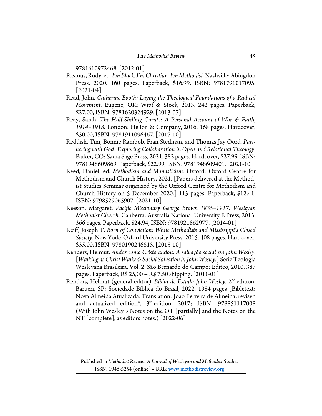9781610972468. [2012-01]

- Rasmus, Rudy, ed. *I'm Black. I'm Christian. I'm Methodist.*Nashville: Abingdon Press, 2020. 160 pages. Paperback, \$16.99, ISBN: 9781791017095. [2021-04]
- Read, John. *Catherine Booth: Laying the Theological Foundations of a Radical Movement*. Eugene, OR: Wipf & Stock, 2013. 242 pages. Paperback, \$27.00, ISBN: 9781620324929. [2013-07]
- Reay, Sarah. *The Half-Shilling Curate: A Personal Account of War & Faith, 1914–1918.* London: Helion & Company, 2016. 168 pages. Hardcover, \$30.00, ISBN: 9781911096467. [2017-10]
- Reddish, Tim, Bonnie Rambob, Fran Stedman, and Thomas Jay Oord. *Partnering with God: Exploring Collaboration in Open and Relational Theology*. Parker, CO: Sacra Sage Press, 2021. 382 pages. Hardcover, \$27.99, ISBN: 9781948609869. Paperback, \$22.99, ISBN: 9781948609401. [2021-10]
- Reed, Daniel, ed. *Methodism and Monasticism.* Oxford: Oxford Centre for Methodism and Church History, 2021. [Papers delivered at the Methodist Studies Seminar organized by the Oxford Centre for Methodism and Church History on 5 December 2020.] 113 pages. Paperback, \$12.41, ISBN: 9798529065907. [2021-10]
- Reeson, Margaret. *Pacific Missionary George Brown 1835–1917: Wesleyan Methodist Church*. Canberra: Australia National University E Press, 2013. 366 pages. Paperback, \$24.94, ISBN: 9781921862977. [2014-01]
- Reiff, Joseph T. *Born of Conviction: White Methodists and Mississippi's Closed Society*. New York: Oxford University Press, 2015. 408 pages. Hardcover, \$35.00, ISBN: 9780190246815. [2015-10]
- Renders, Helmut. *Andar como Cristo andou: A salvação social em John Wesley*. [*Walking as Christ Walked: Social Salvation in John Wesley*.] Série Teologia Wesleyana Brasileira, Vol. 2. São Bernardo do Campo: Editeo, 2010. 387 pages. Paperback, R\$ 25,00 + R\$ 7,50 shipping. [2011-01]
- Renders, Helmut (general editor). *Bíblia de Estudo John Wesley*. 2nd edition. Barueri, SP: Sociedade Bíblica do Brasil, 2022. 1984 pages [Bibletext: Nova Almeida Atualizada. Translation: João Ferreira de Almeida, revised and actualized edition®, 3<sup>rd</sup> edition, 2017; ISBN: 978851117008 (With John Wesley´s Notes on the OT [partially] and the Notes on the NT [complete], as editors notes.) [2022-06]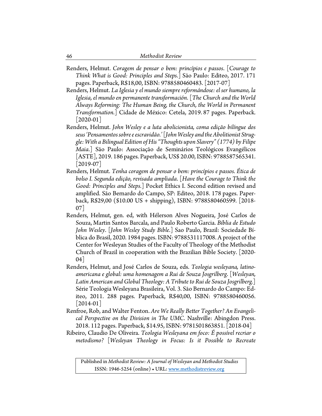Renders, Helmut. *Coragem de pensar o bem: princípios e passos*. [*Courage to Think What is Good: Principles and Steps*.] São Paulo: Editeo, 2017. 171 pages. Paperback, R\$18,00, ISBN: 9788580460483. [2017-07]

Renders, Helmut. *La Iglesia y el mundo siempre reformándose: el ser humano, la Iglesia, el mundo en permanente transformación*. [*The Church and the World Always Reforming: The Human Being, the Church, the World in Permanent Transformation*.] Cidade de México: Cetela, 2019. 87 pages. Paperback. [2020-01]

Renders, Helmut. *John Wesley e a luta abolicionista, coma edição bilíngue dos seus 'Pensamentos sobre e escravidão.'*[*John Wesley and the Abolitionist Struggle: With a Bilingual Edition of His "Thoughts upon Slavery" (1774) by Filipe Maia*.] São Paulo: Associação de Seminários Teológicos Evangélicos [ASTE], 2019. 186 pages. Paperback, US\$ 20.00, ISBN: 9788587565341.  $[2019-07]$ 

- Renders, Helmut. *Tenha coragem de pensar o bem: princípios e passos. Ética de bolso I. Segunda edição, revisada ampliada*. [*Have the Courage to Think the Good: Principles and Steps.*] Pocket Ethics I. Second edition revised and amplified. São Bernardo do Campo, SP: Editeo, 2018. 178 pages. Paperback, R\$29,00 (\$10.00 US + shipping), ISBN: 9788580460599. [2018- 07]
- Renders, Helmut, gen. ed, with Hélerson Alves Nogueira, José Carlos de Souza, Martin Santos Barcala, and Paulo Roberto Garcia. *Bíblia de Estudo John Wesley*. [*John Wesley Study Bible*.] Sao Paulo, Brazil: Sociedade Bíblica do Brasil, 2020. 1984 pages. ISBN: 9788531117008. A project of the Center for Wesleyan Studies of the Faculty of Theology of the Methodist Church of Brazil in cooperation with the Brazilian Bible Society. [2020- 04]
- Renders, Helmut, and José Carlos de Souza, eds. *Teologia wesleyana, latinoamericana e global: uma homenagem a Rui de Souza Josgrilberg*. [*Wesleyan, Latin American and Global Theology: A Tribute to Rui de Souza Josgrilberg.*] Série Teologia Wesleyana Brasileira, Vol. 3. São Bernardo do Campo: Editeo, 2011. 288 pages. Paperback, R\$40,00, ISBN: 9788580460056.  $|2014-01|$
- Renfroe, Rob, and Walter Fenton. *Are We Really Better Together? An Evangelical Perspective on the Division in The UMC*. Nashville: Abingdon Press. 2018. 112 pages. Paperback, \$14.95, ISBN: 9781501863851. [2018-04]
- Ribeiro, Claudio De Oliveira. *Teologia Wesleyana em foco: É possível recriar o metodismo?* [*Wesleyan Theology in Focus: Is it Possible to Recreate*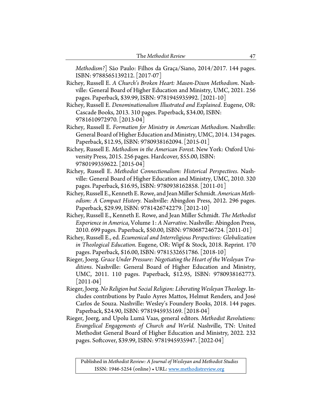*Methodism?*] São Paulo: Filhos da Graça/Siano, 2014/2017. 144 pages. ISBN: 9788565139212. [2017-07]

Richey, Russell E. *A Church's Broken Heart: Mason-Dixon Methodism*. Nashville: General Board of Higher Education and Ministry, UMC, 2021. 256 pages. Paperback, \$39.99, ISBN: 9781945935992. [2021-10]

- Richey, Russell E. *Denominationalism Illustrated and Explained*. Eugene, OR: Cascade Books, 2013. 310 pages. Paperback, \$34.00, ISBN: 9781610972970. [2013-04]
- Richey, Russell E. *Formation for Ministry in American Methodism*. Nashville: General Board of Higher Education and Ministry, UMC, 2014. 134 pages. Paperback, \$12.95, ISBN: 9780938162094. [2015-01]
- Richey, Russell E. *Methodism in the American Forest*. New York: Oxford University Press, 2015. 256 pages. Hardcover, \$55.00, ISBN: 9780199359622. [2015-04]
- Richey, Russell E. *Methodist Connectionalism: Historical Perspectives*. Nashville: General Board of Higher Education and Ministry, UMC, 2010. 320 pages. Paperback, \$16.95, ISBN: 9780938162858. [2011-01]
- Richey, Russell E., Kenneth E.Rowe, and Jean Miller Schmidt. *American Methodism: A Compact History.* Nashville: Abingdon Press, 2012. 296 pages. Paperback, \$29.99, ISBN: 9781426742279. [2012-10]
- Richey, Russell E., Kenneth E. Rowe, and Jean Miller Schmidt. *The Methodist Experience in America*, Volume 1: *A Narrative*. Nashville: Abingdon Press, 2010. 699 pages. Paperback, \$50.00, ISBN: 9780687246724. [2011-01]
- Richey, Russell E., ed. *Ecumenical and Interreligious Perspectives: Globalization in Theological Education*. Eugene, OR: Wipf & Stock, 2018. Reprint. 170 pages. Paperback, \$16.00, ISBN: 9781532651786. [2018-10]
- Rieger, Joerg. *Grace Under Pressure: Negotiating the Heart of the Wesleyan Traditions*. Nashville: General Board of Higher Education and Ministry, UMC, 2011. 110 pages. Paperback, \$12.95, ISBN: 9780938162773.  $[2011-04]$
- Rieger, Joerg. *No Religion but Social Religion: Liberating Wesleyan Theology*. Includes contributions by Paulo Ayres Mattos, Helmut Renders, and José Carlos de Souza. Nashville: Wesley's Foundery Books, 2018. 144 pages. Paperback, \$24.90, ISBN: 9781945935169. [2018-04]
- Rieger, Joerg, and Upolu Lumã Vaas, general editors. *Methodist Revolutions: Evangelical Engagements of Church and World.* Nashville, TN: United Methodist General Board of Higher Education and Ministry, 2022. 232 pages. Softcover, \$39.99, ISBN: 9781945935947. [2022-04]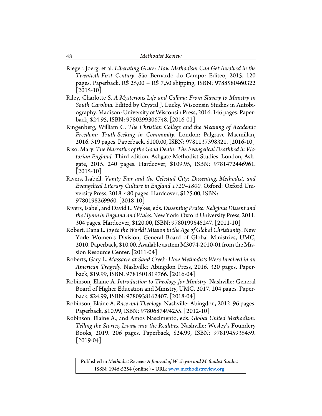- Rieger, Joerg, et al. *Liberating Grace: How Methodism Can Get Involved in the Twentieth-First Century*. São Bernardo do Campo: Editeo, 2015. 120 pages. Paperback, R\$ 25,00 + R\$ 7,50 shipping, ISBN: 9788580460322  $|2015-10|$
- Riley, Charlotte S. *A Mysterious Life and Calling: From Slavery to Ministry in South Carolina*. Edited by Crystal J. Lucky. Wisconsin Studies in Autobiography. Madison: University of Wisconsin Press, 2016. 146 pages. Paperback, \$24.95, ISBN: 9780299306748. [2016-01]
- Ringenberg, William C. *The Christian College and the Meaning of Academic Freedom: Truth-Seeking in Community*. London: Palgrave Macmillan, 2016. 319 pages. Paperback, \$100.00, ISBN: 9781137398321. [2016-10]
- Riso, Mary. *The Narrative of the Good Death: The Evangelical Deathbed in Victorian England*. Third edition. Ashgate Methodist Studies. London, Ashgate, 2015. 240 pages. Hardcover, \$109.95, ISBN: 9781472446961.  $|2015-10|$
- Rivers, Isabell. *Vanity Fair and the Celestial City: Dissenting, Methodist, and Evangelical Literary Culture in England 1720–1800.* Oxford: Oxford University Press, 2018. 480 pages. Hardcover, \$125.00, ISBN: 9780198269960. [2018-10]
- Rivers, Isabel, and David L. Wykes, eds.*Dissenting Praise: Religious Dissent and the Hymn in England and Wales*. New York: Oxford University Press, 2011. 304 pages. Hardcover, \$120.00, ISBN: 9780199545247. [2011-10]
- Robert, Dana L. *Joy to the World! Mission in the Age of Global Christianity*. New York: Women's Division, General Board of Global Ministries, UMC, 2010. Paperback, \$10.00. Available as item M3074-2010-01 from the Mission Resource Center. [2011-04]
- Roberts, Gary L. *Massacre at Sand Creek: How Methodists Were Involved in an American Tragedy.* Nashville: Abingdon Press, 2016. 320 pages. Paperback, \$19.99, ISBN: 9781501819766. [2016-04]
- Robinson, Elaine A. *Introduction to Theology for Ministry*. Nashville: General Board of Higher Education and Ministry, UMC, 2017. 204 pages. Paperback, \$24.99, ISBN: 9780938162407. [2018-04]
- Robinson, Elaine A. *Race and Theology*. Nashville: Abingdon, 2012. 96 pages. Paperback, \$10.99, ISBN: 9780687494255. [2012-10]
- Robinson, Elaine A., and Amos Nascimento, eds. *Global United Methodism: Telling the Stories, Living into the Realities*. Nashville: Wesley's Foundery Books, 2019. 206 pages. Paperback, \$24.99, ISBN: 9781945935459.  $[2019-04]$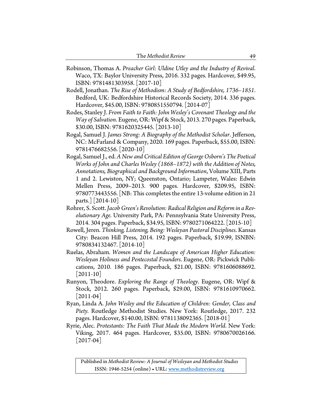- Robinson, Thomas A. *Preacher Girl: Uldine Utley and the Industry of Revival*. Waco, TX: Baylor University Press, 2016. 332 pages. Hardcover, \$49.95, ISBN: 9781481303958. [2017-10]
- Rodell, Jonathan. *The Rise of Methodism: A Study of Bedfordshire, 1736–1851*. Bedford, UK: Bedfordshire Historical Records Society, 2014. 336 pages. Hardcover, \$45.00, ISBN: 9780851550794. [2014-07]
- Rodes, Stanley J. *From Faith to Faith: John Wesley's Covenant Theology and the Way of Salvation*. Eugene, OR: Wipf & Stock, 2013. 270 pages. Paperback, \$30.00, ISBN: 9781620325445. [2013-10]
- Rogal, Samuel J. *James Strong: A Biography of the Methodist Scholar*. Jefferson, NC: McFarland & Company, 2020. 169 pages. Paperback, \$55.00, ISBN: 9781476682556. [2020-10]
- Rogal, Samuel J., ed. *A New and Critical Edition of George Osborn's The Poetical Works of John and Charles Wesley (1868–1872) with the Addition of Notes, Annotations, Biographical and Background Information*, Volume XIII, Parts 1 and 2. Lewiston, NY; Queenston, Ontario; Lampeter, Wales: Edwin Mellen Press, 2009–2013. 900 pages. Hardcover, \$209.95, ISBN: 9780773443556. [NB: This completes the entire 13-volume edition in 21 parts.] [2014-10]
- Rohrer, S. Scott.*Jacob Green's Revolution: Radical Religion and Reform in a Revolutionary Age.* University Park, PA: Pennsylvania State University Press, 2014. 304 pages. Paperback, \$34.95, ISBN: 9780271064222. [2015-10]
- Rowell, Jeren. *Thinking, Listening, Being: Wesleyan Pastoral Disciplines*. Kansas City: Beacon Hill Press, 2014. 192 pages. Paperback, \$19.99, ISNBN: 9780834132467. [2014-10]
- Ruelas, Abraham. *Women and the Landscape of American Higher Education: Wesleyan Holiness and Pentecostal Founders*. Eugene, OR: Pickwick Publications, 2010. 186 pages. Paperback, \$21.00, ISBN: 9781606088692.  $[2011-10]$
- Runyon, Theodore. *Exploring the Range of Theology*. Eugene, OR: Wipf & Stock, 2012. 260 pages. Paperback, \$29.00, ISBN: 9781610970662.  $|2011-04|$
- Ryan, Linda A. *John Wesley and the Education of Children: Gender, Class and Piety.* Routledge Methodist Studies. New York: Routledge, 2017. 232 pages. Hardcover, \$140.00, ISBN: 9781138092365. [2018-01]
- Ryrie, Alec. *Protestants: The Faith That Made the Modern World*. New York: Viking, 2017. 464 pages. Hardcover, \$35.00, ISBN: 9780670026166. [2017-04]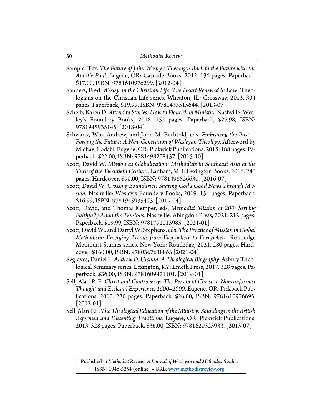- Sample, Tex. *The Future of John Wesley's Theology: Back to the Future with the Apostle Paul*. Eugene, OR: Cascade Books, 2012. 136 pages. Paperback, \$17.00, ISBN: 9781610976299. [2012-04]
- Sanders, Fred. *Wesley on the Christian Life: The Heart Renewed in Love*. Theologians on the Christian Life series. Wheaton, IL: Crossway, 2013. 304 pages. Paperback, \$19.99, ISBN: 9781433515644. [2013-07]
- Scheib, Karen D. *Attend to Stories: How to Flourish in Ministry*. Nashville: Wesley's Foundery Books, 2018. 152 pages. Paperback, \$27.98, ISBN: 9781945935145. [2018-04]
- Schwartz, Wm. Andrew, and John M. Bechtold, eds. *Embracing the Past— Forging the Future: A New Generation of Wesleyan Theology*. Afterword by Michael Lodahl. Eugene, OR: Pickwick Publications, 2015. 188 pages. Paperback, \$22.00, ISBN: 9781498208437. [2015-10]
- Scott, David W. *Mission as Globalization: Methodists in Southeast Asia at the Turn of the Twentieth Century*. Lanham, MD: Lexington Books, 2016. 240 pages. Hardcover, \$90.00, ISBN: 9781498526630. [2016-07]
- Scott, David W. *Crossing Boundaries: Sharing God's Good News Through Mission*. Nashville: Wesley's Foundery Books, 2019. 154 pages. Paperback, \$16.99, ISBN: 9781945935473. [2019-04]
- Scott, David, and Thomas Kemper, eds. *Methodist Mission at 200: Serving Faithfully Amid the Tensions*. Nashville: Abingdon Press, 2021. 212 pages. Paperback, \$19.99, ISBN: 9781791015985. [2021-01]
- Scott, David W., and Darryl W. Stephens, eds. *The Practice of Mission in Global Methodism: Emerging Trends from Everywhere to Everywhere*. Routledge Methodist Studies series. New York: Routledge, 2021. 280 pages. Hardcover, \$160.00, ISBN: 9780367618865 [2021-04]
- Segraves, Daniel L. *Andrew D. Urshan: A Theological Biography*. Asbury Theological Seminary series. Lexington, KY: Emeth Press, 2017. 328 pages. Paperback, \$36.00, ISBN: 9781609471101. [2019-01]
- Sell, Alan P. F. *Christ and Controversy: The Person of Christ in Nonconformist Thought and Ecclesial Experience, 1600–2000*. Eugene, OR: Pickwick Publications, 2010. 230 pages. Paperback, \$26.00, ISBN: 9781610976695.  $|2012-01|$
- Sell, Alan P.F. *The Theological Education of the Ministry: Soundings in the British Reformed and Dissenting Traditions*. Eugene, OR: Pickwick Publications, 2013. 328 pages. Paperback, \$36.00, ISBN: 9781620325933. [2013-07]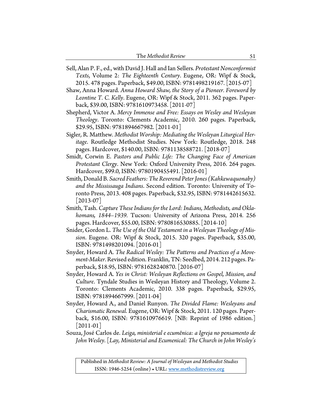Sell, Alan P. F., ed., with David J. Hall and Ian Sellers. *Protestant Nonconformist Texts*, Volume 2: *The Eighteenth Century*. Eugene, OR: Wipf & Stock, 2015. 478 pages. Paperback, \$49.00, ISBN: 9781498219167. [2015-07]

Shaw, Anna Howard. *Anna Howard Shaw, the Story of a Pioneer. Foreword by Leontine T. C. Kelly*. Eugene, OR: Wipf & Stock, 2011. 362 pages. Paperback, \$39.00, ISBN: 9781610973458. [2011-07]

- Shepherd, Victor A. *Mercy Immense and Free: Essays on Wesley and Wesleyan Theology*. Toronto: Clements Academic, 2010. 260 pages. Paperback, \$29.95, ISBN: 9781894667982. [2011-01]
- Sigler, R. Matthew. *Methodist Worship: Mediating the Wesleyan Liturgical Heritage*. Routledge Methodist Studies. New York: Routledge, 2018. 248 pages. Hardcover, \$140.00, ISBN: 9781138588721. [2018-07]
- Smidt, Corwin E. *Pastors and Public Life: The Changing Face of American Protestant Clergy*. New York: Oxford University Press, 2016. 264 pages. Hardcover, \$99.0, ISBN: 9780190455491. [2016-01]
- Smith, Donald B. *Sacred Feathers: The Reverend Peter Jones (Kahkewaquonaby) and the Mississauga Indians*. Second edition. Toronto: University of Toronto Press, 2013. 408 pages. Paperback, \$32.95, ISBN: 9781442615632.  $|2013-07|$
- Smith, Tash. *Capture These Indians for the Lord: Indians, Methodists, and Oklahomans, 1844–1939.* Tucson: University of Arizona Press, 2014. 256 pages. Hardcover, \$55.00, ISBN: 9780816530885. [2014-10]
- Snider, Gordon L. *The Use of the Old Testament in a Wesleyan Theology of Mission*. Eugene. OR: Wipf & Stock, 2015. 320 pages. Paperback, \$35.00, ISBN: 9781498201094. [2016-01]
- Snyder, Howard A. *The Radical Wesley: The Patterns and Practices of a Movement-Maker*. Revised edition. Franklin, TN: Seedbed, 2014. 212 pages. Paperback, \$18.95, ISBN: 9781628240870. [2016-07]
- Snyder, Howard A. *Yes in Christ: Wesleyan Reflections on Gospel, Mission, and Culture*. Tyndale Studies in Wesleyan History and Theology, Volume 2. Toronto: Clements Academic, 2010. 338 pages. Paperback, \$29.95, ISBN: 9781894667999. [2011-04]
- Snyder, Howard A., and Daniel Runyon. *The Divided Flame: Wesleyans and Charismatic Renewal*. Eugene, OR: Wipf & Stock, 2011. 120 pages. Paperback, \$16.00, ISBN: 9781610976619. [NB: Reprint of 1986 edition.]  $|2011-01|$
- Souza, José Carlos de. *Leiga, ministerial e ecumênica: a Igreja no pensamento de John Wesley*. [*Lay, Ministerial and Ecumenical: The Church in John Wesley's*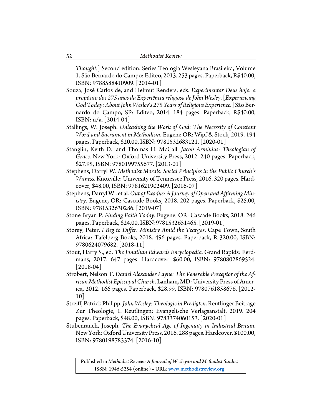*Thought.*] Second edition. Series Teologia Wesleyana Brasileira, Volume 1. São Bernardo do Campo: Editeo, 2013. 253 pages. Paperback, R\$40.00, ISBN: 9788588410909. [2014-01]

- Souza, José Carlos de, and Helmut Renders, eds. *Experimentar Deus hoje: a propósito dos 275 anos da Experiência religiosa de John Wesley*. [*Experiencing God Today: About JohnWesley's 275 Years of Religious Experience*.] São Bernardo do Campo, SP: Editeo, 2014. 184 pages. Paperback, R\$40.00, ISBN: n/a. [2014-04]
- Stallings, W. Joseph. *Unleashing the Work of God: The Necessity of Constant Word and Sacrament in Methodism*. Eugene OR: Wipf & Stock, 2019. 194 pages. Paperback, \$20.00, ISBN: 9781532683121. [2020-01]
- Stanglin, Keith D., and Thomas H. McCall. *Jacob Arminius: Theologian of Grace.* New York: Oxford University Press, 2012. 240 pages. Paperback, \$27.95, ISBN: 9780199755677. [2013-01]
- Stephens, Darryl W. *Methodist Morals: Social Principles in the Public Church's Witness*. Knoxville: University of Tennessee Press, 2016. 320 pages. Hardcover, \$48.00, ISBN: 9781621902409. [2016-07]
- Stephens, Darryl W., et al. *Out of Exodus: A Journey of Open and Affirming Ministry*. Eugene, OR: Cascade Books, 2018. 202 pages. Paperback, \$25.00, ISBN: 9781532630286. [2019-07]
- Stone Bryan P. *Finding Faith Today.* Eugene, OR: Cascade Books, 2018. 246 pages. Paperback, \$24.00, ISBN:9781532651465. [2019-01]
- Storey, Peter. *I Beg to Differ: Ministry Amid the Teargas*. Cape Town, South Africa: Tafelberg Books, 2018. 496 pages. Paperback, R 320.00, ISBN: 9780624079682. [2018-11]
- Stout, Harry S., ed. *The Jonathan Edwards Encyclopedia*. Grand Rapids: Eerdmans, 2017. 647 pages. Hardcover, \$60.00, ISBN: 9780802869524. [2018-04]
- Strobert, Nelson T. *Daniel Alexander Payne: The Venerable Preceptor of the African Methodist Episcopal Church*. Lanham, MD: University Press ofAmerica, 2012. 166 pages. Paperback, \$28.99, ISBN: 9780761858676. [2012- 10]
- Streiff, Patrick Philipp. *John Wesley: Theologie in Predigten*. Reutlinger Beitrage Zur Theologie, 1. Reutlingen: Evangelische Verlagsanstalt, 2019. 204 pages. Paperback, \$48.00, ISBN: 9783374060153. [2020-01]
- Stubenrauch, Joseph. *The Evangelical Age of Ingenuity in Industrial Britain*. New York: Oxford University Press, 2016. 288 pages. Hardcover, \$100.00, ISBN: 9780198783374. [2016-10]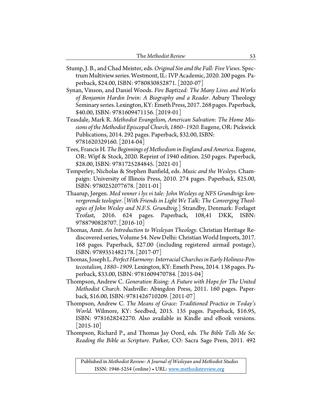| The Methodist Review |  |
|----------------------|--|
|----------------------|--|

- Stump, J. B., and Chad Meister, eds. *Original Sin and the Fall: Five Views*. Spectrum Multiview series. Westmont, IL: IVP Academic, 2020. 200 pages. Paperback, \$24.00, ISBN: 9780830852871. [2020-07]
- Synan, Vinson, and Daniel Woods. *Fire Baptized: The Many Lives and Works of Benjamin Hardin Irwin: A Biography and a Reader*. Asbury Theology Seminary series. Lexington, KY: Emeth Press, 2017. 268 pages. Paperback, \$40.00, ISBN: 9781609471156. [2019-01]
- Teasdale, Mark R. *Methodist Evangelism, American Salvation: The Home Missions of the Methodist Episcopal Church, 1860–1920.* Eugene, OR: Pickwick Publications, 2014. 292 pages. Paperback, \$32.00, ISBN: 9781620329160. [2014-04]
- Tees, Francis H. *The Beginnings of Methodism in England and America*. Eugene, OR: Wipf & Stock, 2020. Reprint of 1940 edition. 250 pages. Paperback, \$28.00, ISBN: 9781725284845. [2021-01]
- Temperley, Nicholas & Stephen Banfield, eds. *Music and the Wesleys*. Champaign: University of Illinois Press, 2010. 274 pages. Paperback, \$25.00, ISBN: 9780252077678. [2011-01]
- Thaarup, Jørgen. *Med venner i lys vi tale: John Wesleys og NFS Grundtvigs konvergerende teologier*. [*With Friends in Light We Talk: The Converging Theologies of John Wesley and N.F.S. Grundtvig*.] Strandby, Denmark: Forlaget Trofast, 2016. 624 pages. Paperback, 108,41 DKK, ISBN: 9788790828707. [2016-10]
- Thomas, Amit. *An Introduction to Wesleyan Theology*. Christian Heritage Rediscovered series, Volume 54. New Delhi: Christian World Imports, 2017. 168 pages. Paperback, \$27.00 (including registered airmail postage), ISBN: 9789351482178. [2017-07]
- Thomas, Joseph L. *Perfect Harmony: Interracial Churches in Early Holiness-Pentecostalism, 1880–1909.* Lexington, KY: Emeth Press, 2014. 138 pages. Paperback, \$33.00, ISBN: 9781609470784. [2015-04]
- Thompson, Andrew C. *Generation Rising: A Future with Hope for The United Methodist Church*. Nashville: Abingdon Press, 2011. 160 pages. Paperback, \$16.00, ISBN: 9781426710209. [2011-07]
- Thompson, Andrew C. *The Means of Grace: Traditioned Practice in Today's World*. Wilmore, KY: Seedbed, 2015. 135 pages. Paperback, \$16.95, ISBN: 9781628242270. Also available in Kindle and eBook versions.  $[2015-10]$
- Thompson, Richard P., and Thomas Jay Oord, eds. *The Bible Tells Me So: Reading the Bible as Scripture*. Parker, CO: Sacra Sage Press, 2011. 492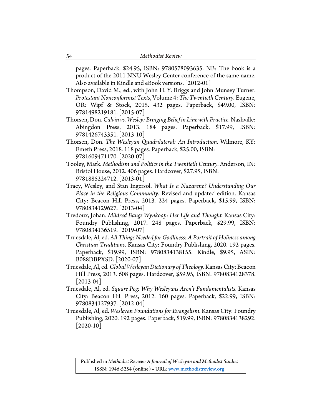pages. Paperback, \$24.95, ISBN: 9780578093635. NB: The book is a product of the 2011 NNU Wesley Center conference of the same name. Also available in Kindle and eBook versions. [2012-01]

Thompson, David M., ed., with John H. Y. Briggs and John Munsey Turner. *Protestant Nonconformist Texts*, Volume 4: *The Twentieth Century.* Eugene, OR: Wipf & Stock, 2015. 432 pages. Paperback, \$49.00, ISBN: 9781498219181. [2015-07]

- Thorsen, Don. *Calvin vs. Wesley: Bringing Belief in Line with Practice*. Nashville: Abingdon Press, 2013. 184 pages. Paperback, \$17.99, ISBN: 9781426743351. [2013-10]
- Thorsen, Don. *The Wesleyan Quadrilateral: An Introduction*. Wilmore, KY: Emeth Press, 2018. 118 pages. Paperback, \$25.00, ISBN: 9781609471170. [2020-07]
- Tooley, Mark. *Methodism and Politics in the Twentieth Century.* Anderson, IN: Bristol House, 2012. 406 pages. Hardcover, \$27.95, ISBN: 9781885224712. [2013-01]
- Tracy, Wesley, and Stan Ingersol. *What Is a Nazarene? Understanding Our Place in the Religious Community*. Revised and updated edition. Kansas City: Beacon Hill Press, 2013. 224 pages. Paperback, \$15.99, ISBN: 9780834129627. [2013-04]
- Tredoux, Johan. *Mildred Bangs Wynkoop: Her Life and Thought.* Kansas City: Foundry Publishing, 2017. 248 pages. Paperback, \$29.99, ISBN: 9780834136519. [2019-07]
- Truesdale, Al, ed. *All Things Needed for Godliness: A Portrait of Holiness among Christian Traditions*. Kansas City: Foundry Publishing, 2020. 192 pages. Paperback, \$19.99, ISBN: 9780834138155. Kindle, \$9.95, ASIN: B088DBPXSD. [2020-07]
- Truesdale, Al, ed. *Global Wesleyan Dictionary of Theology*. Kansas City: Beacon Hill Press, 2013. 608 pages. Hardcover, \$59.95, ISBN: 9780834128378.  $[2013-04]$
- Truesdale, Al, ed. *Square Peg: Why Wesleyans Aren't Fundamentalists*. Kansas City: Beacon Hill Press, 2012. 160 pages. Paperback, \$22.99, ISBN: 9780834127937. [2012-04]
- Truesdale, Al, ed. *Wesleyan Foundations for Evangelism*. Kansas City: Foundry Publishing, 2020. 192 pages. Paperback, \$19.99, ISBN: 9780834138292.  $[2020-10]$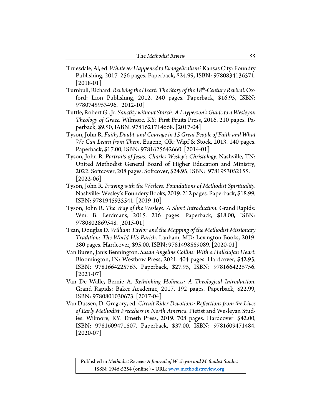| The Methodist Review |  |
|----------------------|--|
|----------------------|--|

- Truesdale, Al, ed. *Whatever Happened to Evangelicalism?*Kansas City: Foundry Publishing, 2017. 256 pages. Paperback, \$24.99, ISBN: 9780834136571.  $|2018-01|$
- Turnbull, Richard. *Reviving the Heart: The Story of the 18th-Century Revival*. Oxford: Lion Publishing, 2012. 240 pages. Paperback, \$16.95, ISBN: 9780745953496. [2012-10]
- Tuttle, Robert G., Jr. *Sanctity without Starch: A Layperson's Guide to a Wesleyan Theology of Grace.* Wilmore. KY: First Fruits Press, 2016. 210 pages. Paperback, \$9.50, IABN: 9781621714668. [2017-04]
- Tyson, John R. *Faith, Doubt, and Courage in 15 Great People of Faith and What We Can Learn from Them*. Eugene, OR: Wipf & Stock, 2013. 140 pages. Paperback, \$17.00, ISBN: 9781625642660. [2014-01]
- Tyson, John R. *Portraits of Jesus: Charles Wesley's Christology.* Nashville, TN: United Methodist General Board of Higher Education and Ministry, 2022. Softcover, 208 pages. Softcover, \$24.95, ISBN: 9781953052155.  $|2022-06|$
- Tyson, John R. *Praying with the Wesleys: Foundations of Methodist Spirituality.* Nashville: Wesley's Foundery Books, 2019. 212 pages. Paperback, \$18.99, ISBN: 9781945935541. [2019-10]
- Tyson, John R. *The Way of the Wesleys: A Short Introduction*. Grand Rapids: Wm. B. Eerdmans, 2015. 216 pages. Paperback, \$18.00, ISBN: 9780802869548. [2015-01]
- Tzan, Douglas D. *William Taylor and the Mapping of the Methodist Missionary Tradition: The World His Parish*. Lanham, MD: Lexington Books, 2019. 280 pages. Hardcover, \$95.00, ISBN: 9781498559089. [2020-01]
- Van Buren, Janis Bennington. *Susan Angeline Collins: With a Hallelujah Heart*. Bloomington, IN: Westbow Press, 2021. 404 pages. Hardcover, \$42.95, ISBN: 9781664225763. Paperback, \$27.95, ISBN: 9781664225756.  $[2021-07]$
- Van De Walle, Bernie A. *Rethinking Holiness: A Theological Introduction*. Grand Rapids: Baker Academic, 2017. 192 pages. Paperback, \$22.99, ISBN: 9780801030673. [2017-04]
- Van Dussen, D. Gregory, ed. *Circuit Rider Devotions: Reflections from the Lives of Early Methodist Preachers in North America.* Pietist and Wesleyan Studies. Wilmore, KY: Emeth Press, 2019. 708 pages. Hardcover, \$42.00, ISBN: 9781609471507. Paperback, \$37.00, ISBN: 9781609471484.  $[2020-07]$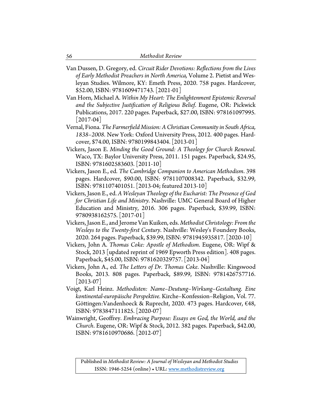- Van Dussen, D. Gregory, ed. *Circuit Rider Devotions: Reflections from the Lives of Early Methodist Preachers in North America,* Volume 2. Pietist and Wesleyan Studies. Wilmore, KY: Emeth Press, 2020. 758 pages. Hardcover, \$52.00, ISBN: 9781609471743. [2021-01]
- Van Horn, Michael A. *Within My Heart: The Enlightenment Epistemic Reversal and the Subjective Justification of Religious Belief*. Eugene, OR: Pickwick Publications, 2017. 220 pages. Paperback, \$27.00, ISBN: 978161097995. [2017-04]
- Vernal, Fiona. *The Farmerfield Mission: A Christian Community in South Africa, 1838–2008*. New York: Oxford University Press, 2012. 400 pages. Hardcover, \$74.00, ISBN: 9780199843404. [2013-01]
- Vickers, Jason E. *Minding the Good Ground: A Theology for Church Renewal*. Waco, TX: Baylor University Press, 2011. 151 pages. Paperback, \$24.95, ISBN: 9781602583603. [2011-10]
- Vickers, Jason E., ed. *The Cambridge Companion to American Methodism*. 398 pages. Hardcover, \$90.00, ISBN: 9781107008342. Paperback, \$32.99, ISBN: 9781107401051. [2013-04; featured 2013-10]
- Vickers, Jason E., ed. *A Wesleyan Theology of the Eucharist: The Presence of God for Christian Life and Ministry*. Nashville: UMC General Board of Higher Education and Ministry, 2016. 306 pages. Paperback, \$39.99, ISBN: 9780938162575. [2017-01]
- Vickers, Jason E., and Jerome Van Kuiken, eds. *Methodist Christology: From the Wesleys to the Twenty-first Century*. Nashville: Wesley's Foundery Books, 2020. 264 pages. Paperback, \$39.99, ISBN: 9781945935817. [2020-10]
- Vickers, John A. *Thomas Coke: Apostle of Methodism*. Eugene, OR: Wipf & Stock, 2013 [updated reprint of 1969 Epworth Press edition]. 408 pages. Paperback, \$45.00, ISBN: 9781620329757. [2013-04]
- Vickers, John A., ed. *The Letters of Dr. Thomas Coke*. Nashville: Kingswood Books, 2013. 808 pages. Paperback, \$89.99, ISBN: 9781426757716.  $[2013-07]$
- Voigt, Karl Heinz. *Methodisten: Name–Deutung–Wirkung–Gestaltung. Eine kontinental-europäische Perspektive.* Kirche–Konfession–Religion, Vol. 77. Göttingen:Vandenhoeck & Ruprecht, 2020. 473 pages. Hardcover, €48, ISBN: 9783847111825. [2020-07]
- Wainwright, Geoffrey. *Embracing Purpose: Essays on God, the World, and the Church*. Eugene, OR: Wipf & Stock, 2012. 382 pages. Paperback, \$42.00, ISBN: 9781610970686. [2012-07]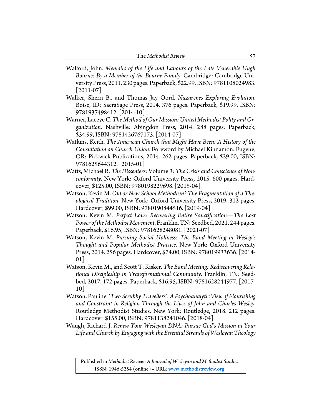| The Methodist Review |  |
|----------------------|--|
|----------------------|--|

- Walford, John. *Memoirs of the Life and Labours of the Late Venerable Hugh Bourne: By a Member of the Bourne Family*. Cambridge: Cambridge University Press, 2011. 230 pages. Paperback, \$22.99, ISBN: 9781108024983.  $|2011-07|$
- Walker, Sherri B., and Thomas Jay Oord. *Nazarenes Exploring Evolution*. Boise, ID: SacraSage Press, 2014. 376 pages. Paperback, \$19.99, ISBN: 9781937498412. [2014-10]
- Warner, Laceye C. *The Method of Our Mission: United Methodist Polity andOrganization*. Nashville: Abingdon Press, 2014. 288 pages. Paperback, \$34.99, ISBN: 9781426767173. [2014-07]
- Watkins, Keith. *The American Church that Might Have Been: A History of the Consultation on Church Union.* Foreword by Michael Kinnamon. Eugene, OR: Pickwick Publications, 2014. 262 pages. Paperback, \$29.00, ISBN: 9781625644312. [2015-01]
- Watts, Michael R. *The Dissenters*: Volume 3: *The Crisis and Conscience of Nonconformity*. New York: Oxford University Press, 2015. 600 pages. Hardcover, \$125.00, ISBN: 9780198229698. [2015-04]
- Watson, Kevin M. *Old or New School Methodism? The Fragmentation of a Theological Tradition*. New York: Oxford University Press, 2019. 312 pages. Hardcover, \$99.00, ISBN: 9780190844516. [2019-04]
- Watson, Kevin M. *Perfect Love: Recovering Entire Sanctification—The Lost Power of the Methodist Movement*. Franklin, TN: Seedbed, 2021. 244 pages. Paperback, \$16.95, ISBN: 9781628248081. [2021-07]
- Watson, Kevin M. *Pursuing Social Holiness: The Band Meeting in Wesley's Thought and Popular Methodist Practice*. New York: Oxford University Press, 2014. 256 pages. Hardcover, \$74.00, ISBN: 978019933636. [2014-  $01$
- Watson, Kevin M., and Scott T. Kisker. *The Band Meeting: Rediscovering Relational Discipleship in Transformational Community*. Franklin, TN: Seedbed, 2017. 172 pages. Paperback, \$16.95, ISBN: 9781628244977. [2017- 10]
- Watson, Pauline*. 'Two Scrubby Travellers': A Psychoanalytic View of Flourishing and Constraint in Religion Through the Lives of John and Charles Wesley*. Routledge Methodist Studies. New York: Routledge, 2018. 212 pages. Hardcover, \$155.00, ISBN: 9781138241046. [2018-04]
- Waugh, Richard J. *Renew Your Wesleyan DNA: Pursue God's Mission in Your Life and Church by Engaging with the Essential Strands of Wesleyan Theology*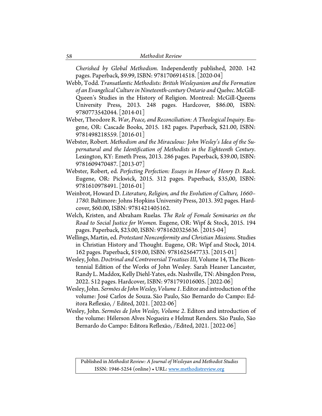*Cherished by Global Methodism*. Independently published, 2020. 142 pages. Paperback, \$9.99, ISBN: 9781706914518. [2020-04]

Webb, Todd. *Transatlantic Methodists: British Wesleyanism and the Formation of an Evangelical Culture in Nineteenth-century Ontario and Quebec.* McGill-Queen's Studies in the History of Religion. Montreal: McGill-Queens University Press, 2013. 248 pages. Hardcover, \$86.00, ISBN: 9780773542044. [2014-01]

- Weber, Theodore R. *War, Peace, and Reconciliation: A Theological Inquiry*. Eugene, OR: Cascade Books, 2015. 182 pages. Paperback, \$21.00, ISBN: 9781498218559. [2016-01]
- Webster, Robert. *Methodism and the Miraculous: John Wesley's Idea of the Supernatural and the Identification of Methodists in the Eighteenth Century*. Lexington, KY: Emeth Press, 2013. 286 pages. Paperback, \$39.00, ISBN: 9781609470487. [2013-07]
- Webster, Robert, ed. *Perfecting Perfection: Essays in Honor of Henry D. Rack*. Eugene, OR: Pickwick, 2015. 312 pages. Paperback, \$35,00, ISBN: 9781610978491. [2016-01]
- Weinbrot, Howard D. *Literature, Religion, and the Evolution of Culture, 1660– 1780.* Baltimore: Johns Hopkins University Press, 2013. 392 pages. Hardcover, \$60.00, ISBN: 9781421405162.
- Welch, Kristen, and Abraham Ruelas. *The Role of Female Seminaries on the Road to Social Justice for Women*. Eugene, OR: Wipf & Stock, 2015. 194 pages. Paperback, \$23.00, ISBN: 9781620325636. [2015-04]
- Wellings, Martin, ed. *Protestant Nonconformity and Christian Missions*. Studies in Christian History and Thought. Eugene, OR: Wipf and Stock, 2014. 162 pages. Paperback, \$19.00, ISBN: 9781625647733. [2015-01]

Wesley, John.*Doctrinal and Controversial Treatises III*, Volume 14, The Bicentennial Edition of the Works of John Wesley. Sarah Heaner Lancaster, Randy L. Maddox, Kelly Diehl-Yates, eds. Nashville, TN: Abingdon Press, 2022. 512 pages. Hardcover, ISBN: 9781791016005. [2022-06]

- Wesley, John. *Sermões de John Wesley, Volume 1*. Editor and introduction of the volume: José Carlos de Souza. São Paulo, São Bernardo do Campo: Editora Reflexão, / Edited, 2021. [2022-06]
- Wesley, John. *Sermões de John Wesley, Volume 2*. Editors and introduction of the volume: Hélerson Alves Nogueira e Helmut Renders. São Paulo, São Bernardo do Campo: Editora Reflexão, /Edited, 2021. [2022-06]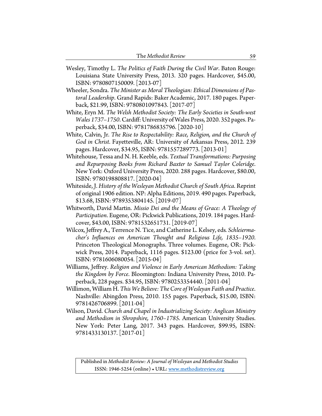| The Methodist Review |  |
|----------------------|--|
|----------------------|--|

- Wesley, Timothy L. *The Politics of Faith During the Civil War*. Baton Rouge: Louisiana State University Press, 2013. 320 pages. Hardcover, \$45.00, ISBN: 9780807150009. [2013-07]
- Wheeler, Sondra. *The Minister as Moral Theologian: Ethical Dimensions of Pastoral Leadership*. Grand Rapids: Baker Academic, 2017. 180 pages. Paperback, \$21.99, ISBN: 9780801097843. [2017-07]
- White, Eryn M. *The Welsh Methodist Society: The Early Societies in South-west Wales 1737–1750*.Cardiff: University of Wales Press, 2020. 352 pages. Paperback, \$34.00, ISBN: 9781786835796. [2020-10]
- White, Calvin, Jr. *The Rise to Respectability: Race, Religion, and the Church of God in Christ*. Fayetteville, AR: University of Arkansas Press, 2012. 239 pages. Hardcover, \$34.95, ISBN: 9781557289773. [2013-01]
- Whitehouse, Tessa and N. H. Keeble, eds. *Textual Transformations: Purposing and Repurposing Books from Richard Baxter to Samuel Taylor Coleridge*. New York: Oxford University Press, 2020. 288 pages. Hardcover, \$80.00, ISBN: 9780198808817. [2020-04]
- Whiteside, J. *History of the Wesleyan Methodist Church of South Africa*. Reprint of original 1906 edition. NP: Alpha Editions, 2019. 490 pages. Paperback, \$13.68, ISBN: 9789353804145. [2019-07]
- Whitworth, David Martin. *Missio Dei and the Means of Grace: A Theology of Participation*. Eugene, OR: Pickwick Publications, 2019. 184 pages. Hardcover, \$43.00, ISBN: 9781532651731. [2019-07]
- Wilcox, Jeffrey A., Terrence N. Tice, and Catherine L. Kelsey, eds*. Schleiermacher's Influences on American Thought and Religious Life, 1835–1920*. Princeton Theological Monographs. Three volumes. Eugene, OR: Pickwick Press, 2014. Paperback, 1116 pages. \$123.00 (price for 3-vol. set). ISBN: 9781606080054. [2015-04]
- Williams, Jeffrey. *Religion and Violence in Early American Methodism: Taking the Kingdom by Force*. Bloomington: Indiana University Press, 2010. Paperback, 228 pages. \$34.95, ISBN: 9780253354440. [2011-04]
- Willimon, William H. *This We Believe:The Core of Wesleyan Faith and Practice*. Nashville: Abingdon Press, 2010. 155 pages. Paperback, \$15.00, ISBN: 9781426706899. [2011-04]
- Wilson, David. *Church and Chapel in Industrializing Society: Anglican Ministry and Methodism in Shropshire, 1760–1785*. American University Studies. New York: Peter Lang, 2017. 343 pages. Hardcover, \$99.95, ISBN: 9781433130137. [2017-01]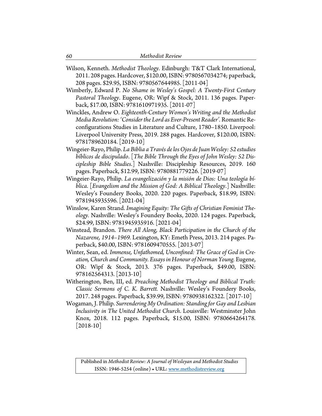- Wilson, Kenneth. *Methodist Theology*. Edinburgh: T&T Clark International, 2011. 208 pages. Hardcover, \$120.00, ISBN: 9780567034274; paperback, 208 pages. \$29.95, ISBN: 9780567644985. [2011-04]
- Wimberly, Edward P. *No Shame in Wesley's Gospel: A Twenty-First Century Pastoral Theology*. Eugene, OR: Wipf & Stock, 2011. 136 pages. Paperback, \$17.00, ISBN: 9781610971935. [2011-07]
- Winckles, Andrew O. *Eighteenth-Century Women's Writing and the Methodist Media Revolution: 'Consider the Lord as Ever-Present Reader'.* Romantic Reconfigurations Studies in Literature and Culture, 1780–1850. Liverpool: Liverpool University Press, 2019. 288 pages. Hardcover, \$120.00, ISBN: 9781789620184. [2019-10]
- Wingeier-Rayo, Philip. *La Biblia a Través de los Ojos de Juan Wesley: 52 estudios bíblicos de discipulado*. [*The Bible Through the Eyes of John Wesley: 52 Discipleship Bible Studies*.] Nashville: Discipleship Resources, 2019. 160 pages. Paperback, \$12.99, ISBN: 9780881779226. [2019-07]
- Wingeier-Rayo, Philip. *La evangelización y la misión de Dios: Una teología bíblica*. [*Evangelism and the Mission of God: A Biblical Theology*.] Nashville: Wesley's Foundery Books, 2020. 220 pages. Paperback, \$18.99, ISBN: 9781945935596. [2021-04]
- Winslow, Karen Strand. *Imagining Equity: The Gifts of Christian Feminist Theology.* Nashville: Wesley's Foundery Books, 2020. 124 pages. Paperback, \$24.99, ISBN: 9781945935916. [2021-04]
- Winstead, Brandon. *There All Along, Black Participation in the Church of the Nazarene, 1914–1969.* Lexington, KY: Emeth Press, 2013. 214 pages. Paperback, \$40.00, ISBN: 9781609470555. [2013-07]
- Winter, Sean, ed. *Immense, Unfathomed, Unconfined: The Grace of God in Creation, Church and Community. Essays in Honour of Norman Young.* Eugene, OR: Wipf & Stock, 2013. 376 pages. Paperback, \$49.00, ISBN: 978162564313. [2013-10]
- Witherington, Ben, III, ed. *Preaching Methodist Theology and Biblical Truth: Classic Sermons of C. K. Barrett.* Nashville: Wesley's Foundery Books, 2017. 248 pages. Paperback, \$39.99, ISBN: 9780938162322. [2017-10]
- Wogaman, J. Philip. *Surrendering My Ordination: Standing for Gay and Lesbian Inclusivity in The United Methodist Church*. Louisville: Westminster John Knox, 2018. 112 pages. Paperback, \$15.00, ISBN: 9780664264178.  $[2018-10]$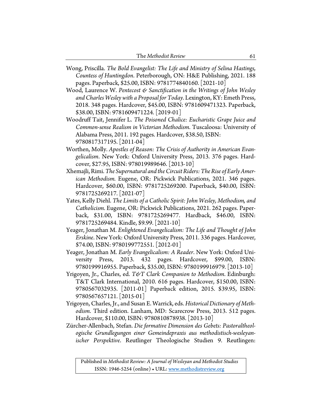| The Methodist Review |  |
|----------------------|--|
|----------------------|--|

- Wong, Priscilla. *The Bold Evangelist: The Life and Ministry of Selina Hastings, Countess of Huntingdon*. Peterborough, ON: H&E Publishing, 2021. 188 pages. Paperback, \$25.00, ISBN: 9781774840160. [2021-10]
- Wood, Laurence W. *Pentecost & Sanctification in the Writings of John Wesley and Charles Wesley with a Proposal for Today*. Lexington, KY: Emeth Press, 2018. 348 pages. Hardcover, \$45.00, ISBN: 9781609471323. Paperback, \$38.00, ISBN: 9781609471224. [2019-01]
- Woodruff Tait, Jennifer L. *The Poisoned Chalice: Eucharistic Grape Juice and Common-sense Realism in Victorian Methodism*. Tuscaloosa: University of Alabama Press, 2011. 192 pages. Hardcover, \$38.50, ISBN: 9780817317195. [2011-04]
- Worthen, Molly. *Apostles of Reason: The Crisis of Authority in American Evangelicalism*. New York: Oxford University Press, 2013. 376 pages. Hardcover, \$27.95, ISBN: 978019989646. [2013-10]
- Xhemajli, Rimi. *The Supernatural and the Circuit Riders: The Rise of Early American Methodism.* Eugene, OR: Pickwick Publications, 2021. 346 pages. Hardcover, \$60.00, ISBN: 9781725269200. Paperback, \$40.00, ISBN: 9781725269217. [2021-07]
- Yates, Kelly Diehl. *The Limits of a Catholic Spirit: John Wesley, Methodism, and Catholicism*. Eugene, OR: Pickwick Publications, 2021. 262 pages. Paperback, \$31.00, ISBN: 9781725269477. Hardback, \$46.00, ISBN: 9781725269484. Kindle, \$9.99. [2021-10]
- Yeager, Jonathan M. *Enlightened Evangelicalism: The Life and Thought of John Erskine*. New York: Oxford University Press, 2011. 336 pages. Hardcover, \$74.00, ISBN: 9780199772551. [2012-01]
- Yeager, Jonathan M. *Early Evangelicalism: A Reader*. New York: Oxford University Press, 2013. 432 pages. Hardcover, \$99.00, ISBN: 9780199916955. Paperback, \$35.00, ISBN: 9780199916979. [2013-10]
- Yrigoyen, Jr., Charles, ed. *T&T Clark Companion to Methodism*. Edinburgh: T&T Clark International, 2010. 616 pages. Hardcover, \$150.00, ISBN: 9780567032935. [2011-01] Paperback edition, 2015. \$39.95, ISBN: 9780567657121. [2015-01]
- Yrigoyen, Charles, Jr., and Susan E. Warrick, eds. *Historical Dictionary of Methodism*. Third edition. Lanham, MD: Scarecrow Press, 2013. 512 pages. Hardcover, \$110.00, ISBN: 9780810878938. [2013-10]
- Zürcher-Allenbach, Stefan. *Die formative Dimension des Gebets: Pastoraltheologische Grundlegungen einer Gemeindepraxis aus methodistisch-wesleyanischer Perspektive*. Reutlinger Theologische Studien 9. Reutlingen: